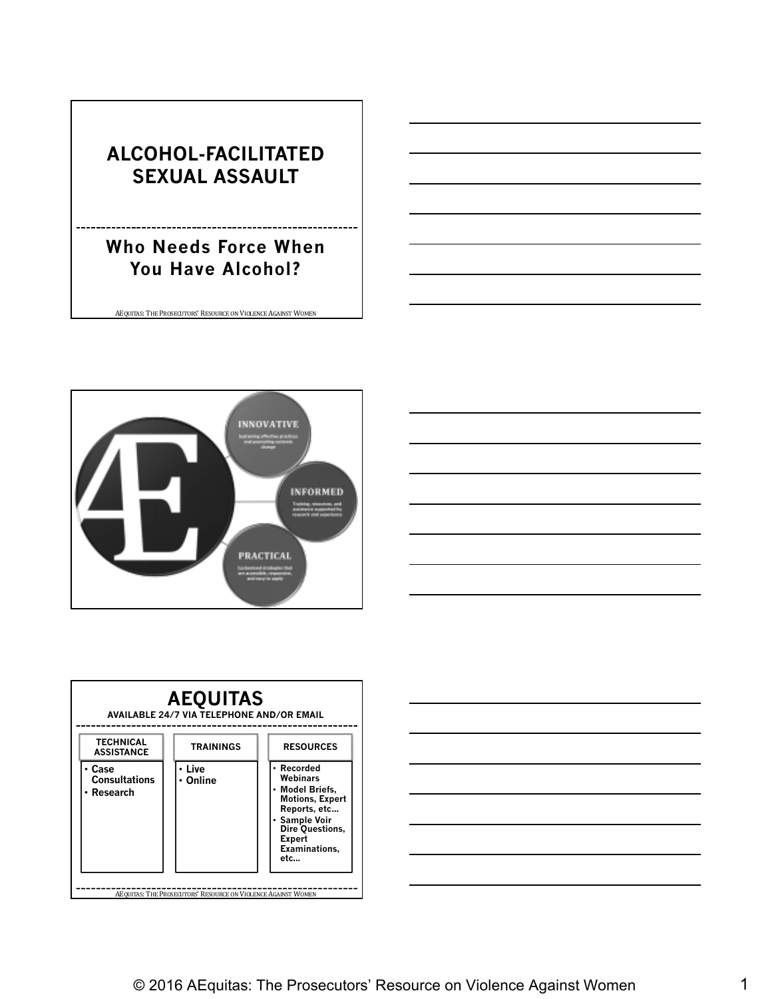#### **ALCOHOL-FACILITATED SEXUAL ASSAULT**

#### **Who Needs Force When You Have Alcohol?**







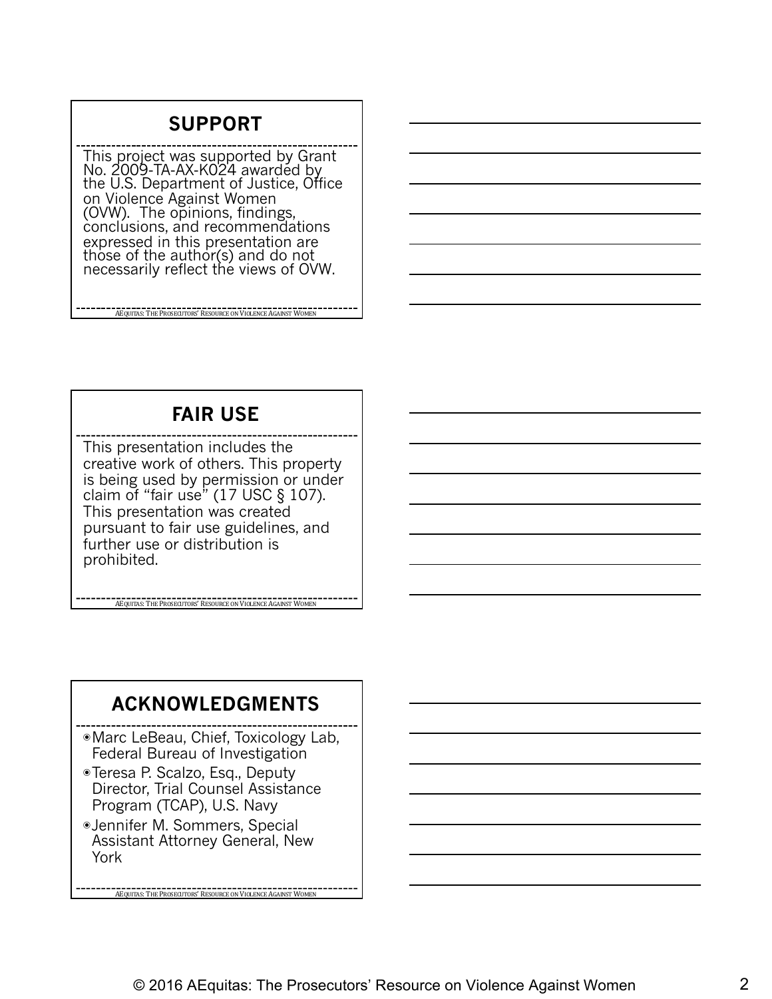#### **SUPPORT**

This project was supported by Grant No. 2009-TA-AX-K024 awardéd by<br>the U.S. Department of Justice, Office on Violence Against Women (OVW). The opinions, findings,<br>conclusions, and recommendations expressed in this presentation are those of the author(s) and do not necessarily reflect the views of OVW.

AEQUITAS: THE PROSECUTORS' RESOURCE ON VIOLENCE AGAINST WOMEN

#### **FAIR USE**

This presentation includes the creative work of others. This property is being used by permission or under claim of "fair use" (17 USC § 107). This presentation was created pursuant to fair use guidelines, and further use or distribution is prohibited.

**AEQUITAS:** THE PROSECUTORS' RESOURCE ON VIOLENCE AGAINST WOM

#### **ACKNOWLEDGMENTS**

◉Marc LeBeau, Chief, Toxicology Lab, Federal Bureau of Investigation

- ◉Teresa P. Scalzo, Esq., Deputy Director, Trial Counsel Assistance Program (TCAP), U.S. Navy
- ◉Jennifer M. Sommers, Special Assistant Attorney General, New York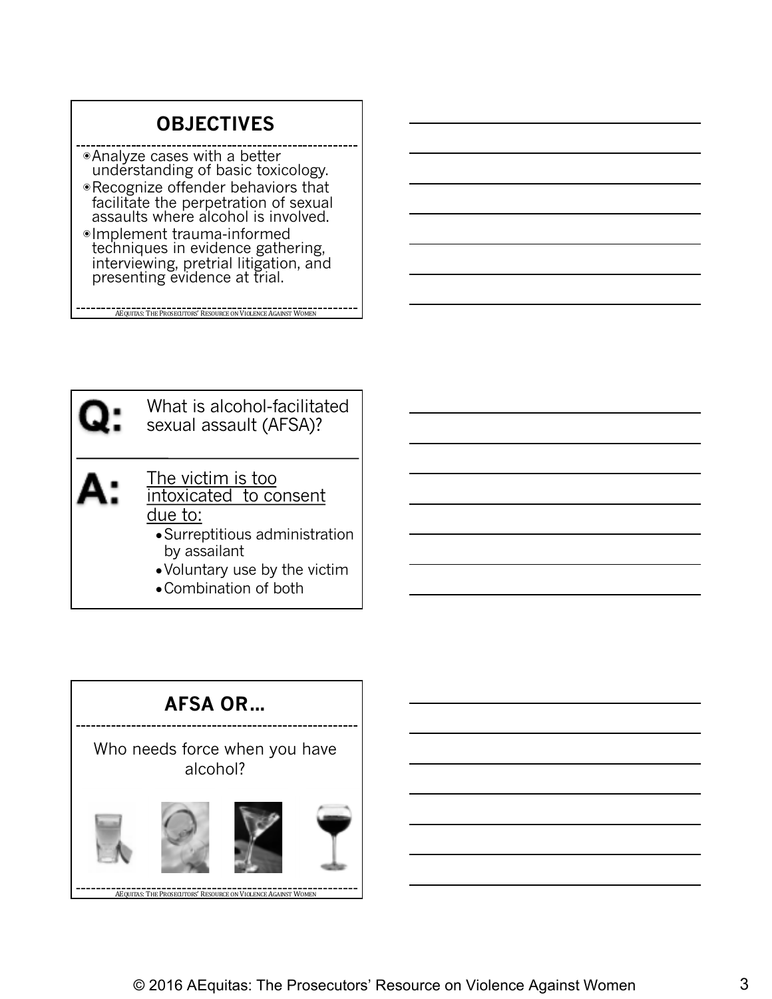#### **OBJECTIVES**

- ◉Analyze cases with a better understanding of basic toxicology.
- ◉Recognize offender behaviors that facilitate the perpetration of sexual assaults where alcohol is involved.
- ◉Implement trauma-informed techniques in evidence gathering, interviewing, pretrial litigation, and presenting evidence at trial.

**AEQUITAS:** THE PROSECUTORS' RESOURCE ON VIOLENCE AGAINST WOMEN

What is alcohol-facilitated sexual assault (AFSA)? The victim is too intoxicated to consent due to: ●Surreptitious administration by assailant ●Voluntary use by the victim

• Combination of both

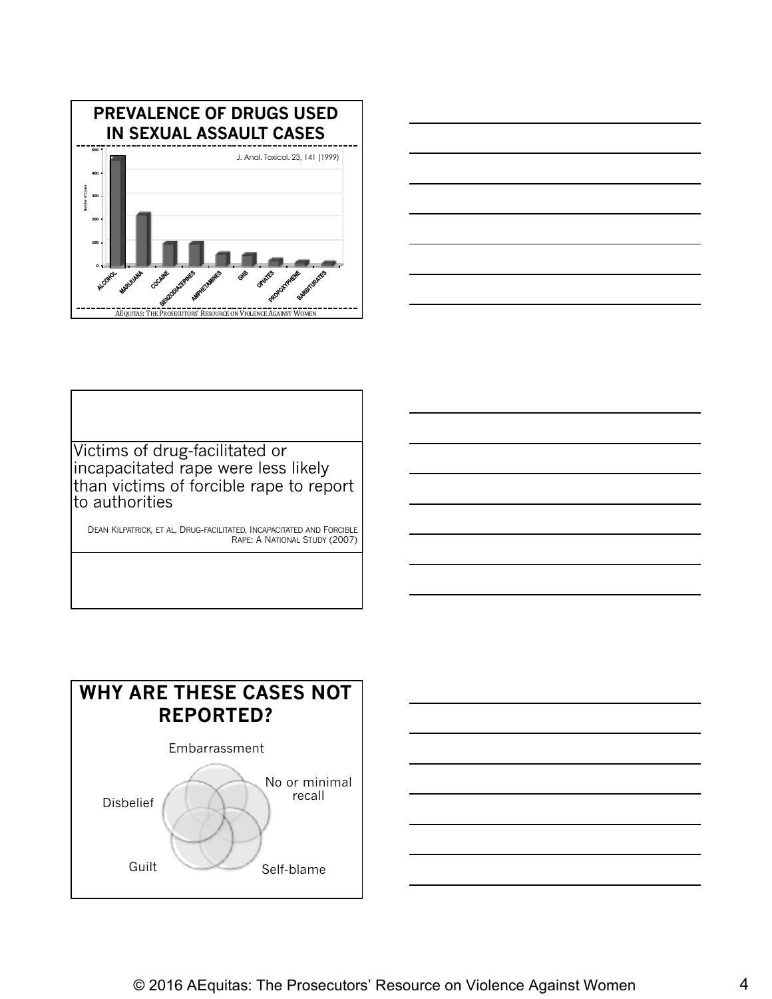



Victims of drug-facilitated or incapacitated rape were less likely than victims of forcible rape to report to authorities

DEAN KILPATRICK, ET AL, DRUG-FACILITATED, INCAPACITATED AND FORCIBLE RAPE: A NATIONAL STUDY (2007)



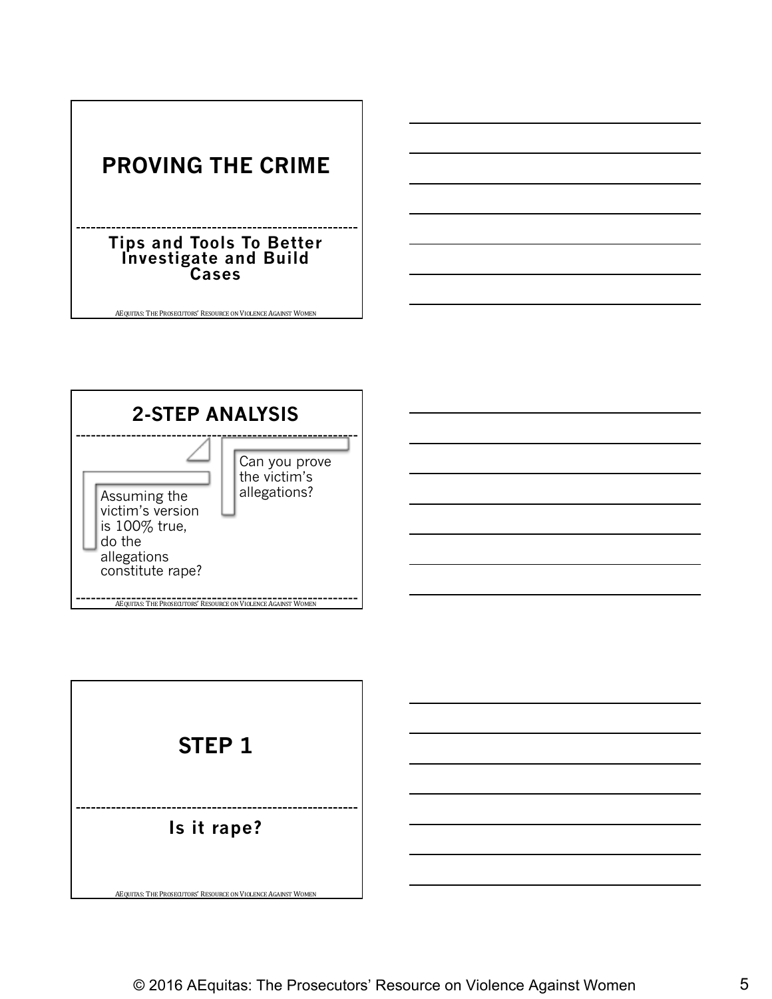



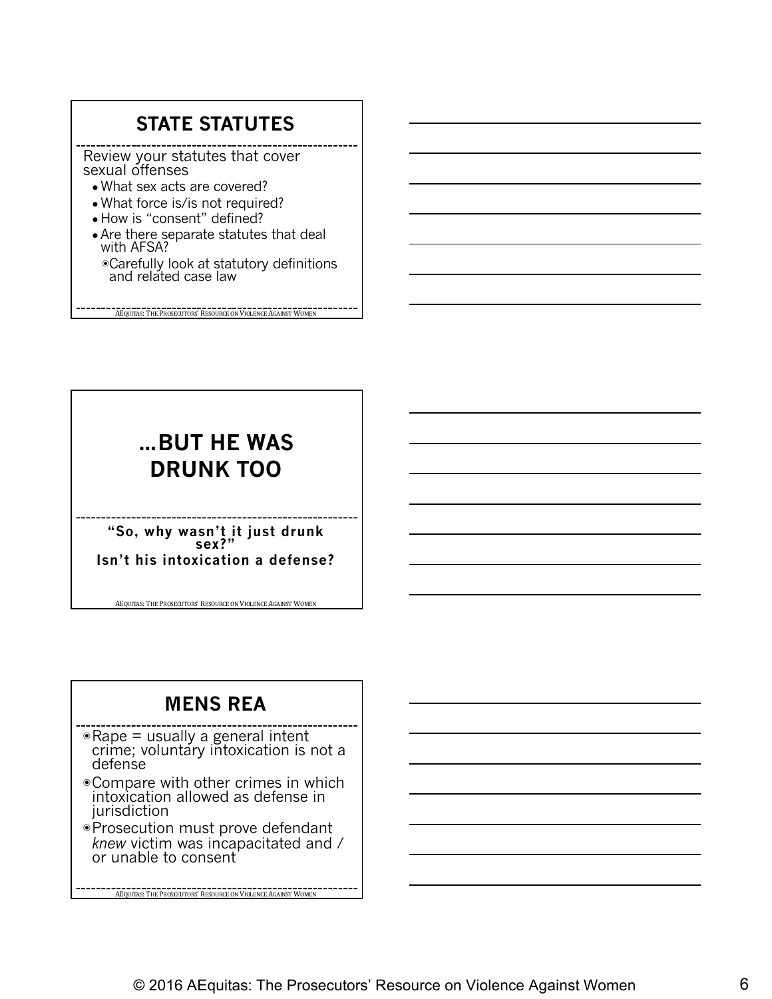#### **STATE STATUTES**

Review your statutes that cover sexual offenses

- What sex acts are covered?
- What force is/is not required?
- How is "consent" defined?
- Are there separate statutes that deal with AFSA?
	- ◉Carefully look at statutory definitions and related case law

AEQUITAS: THE PROSECUTORS' RESOURCE ON VIOLENCE AGAINST WOMEN

#### **…BUT HE WAS DRUNK TOO**

**"So, why wasn't it just drunk sex?" Isn't his intoxication a defense?**

AEQUITAS: THE PROSECUTORS' RESOURCE ON VIOLENCE AGAINST WOMEN

#### **MENS REA**

- ◉Rape = usually a general intent crime; voluntary intoxication is not a defense
- ◉Compare with other crimes in which intoxication allowed as defense in jurisdiction
- ◉Prosecution must prove defendant *knew* victim was incapacitated and / or unable to consent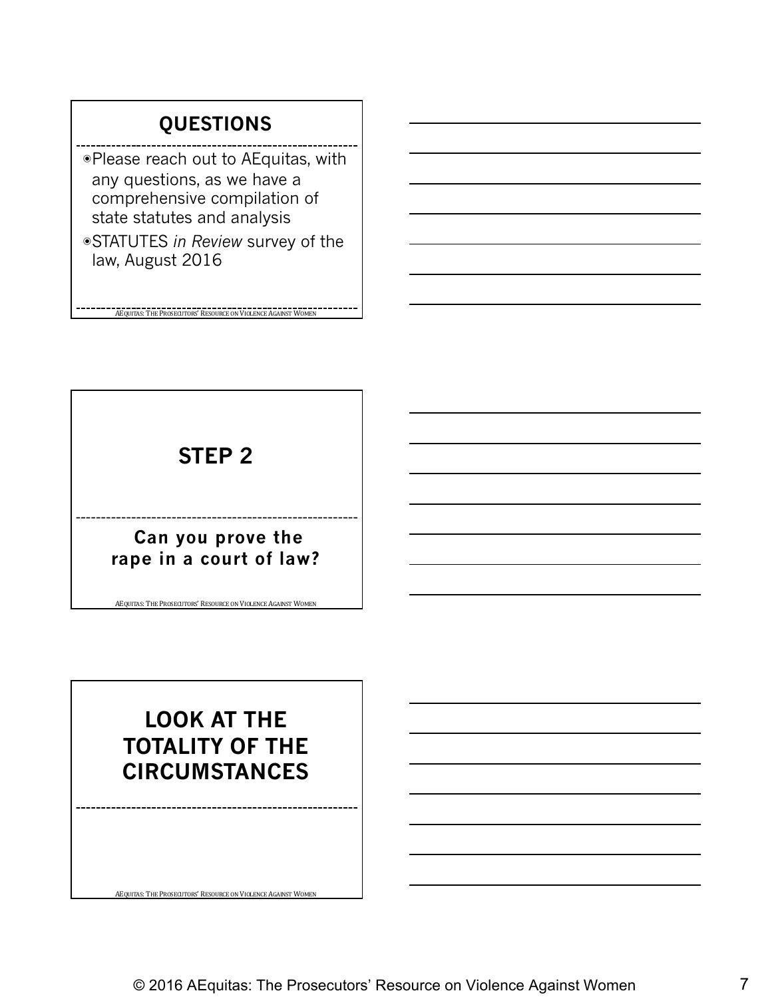#### **QUESTIONS**

◉Please reach out to AEquitas, with any questions, as we have a comprehensive compilation of state statutes and analysis

◉STATUTES *in Review* survey of the law, August 2016

AEQUITAS: THE PROSECUTORS' RESOURCE ON VIOLENCE AGAINST WOMEN

#### **STEP 2**

#### **Can you prove the rape in a court of law?**

AEQUITAS: THE PROSECUTORS' RESOURCE ON VIOLENCE AGAINST WOMEN

#### **LOOK AT THE TOTALITY OF THE CIRCUMSTANCES**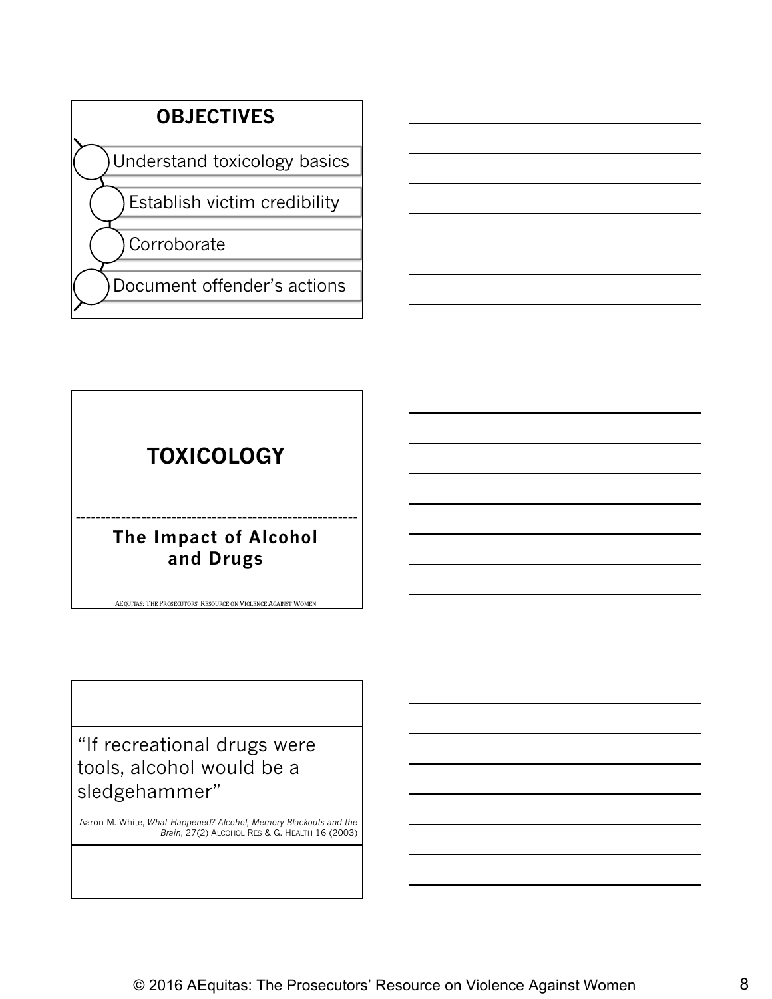

#### **TOXICOLOGY**

#### **The Impact of Alcohol and Drugs**

AEQUITAS: THE PROSECUTORS' RESOURCE ON VIOLENCE AGAINST WOMEN

"If recreational drugs were tools, alcohol would be a sledgehammer"

Aaron M. White, *What Happened? Alcohol, Memory Blackouts and the Brain*, 27(2) ALCOHOL RES & G. HEALTH 16 (2003)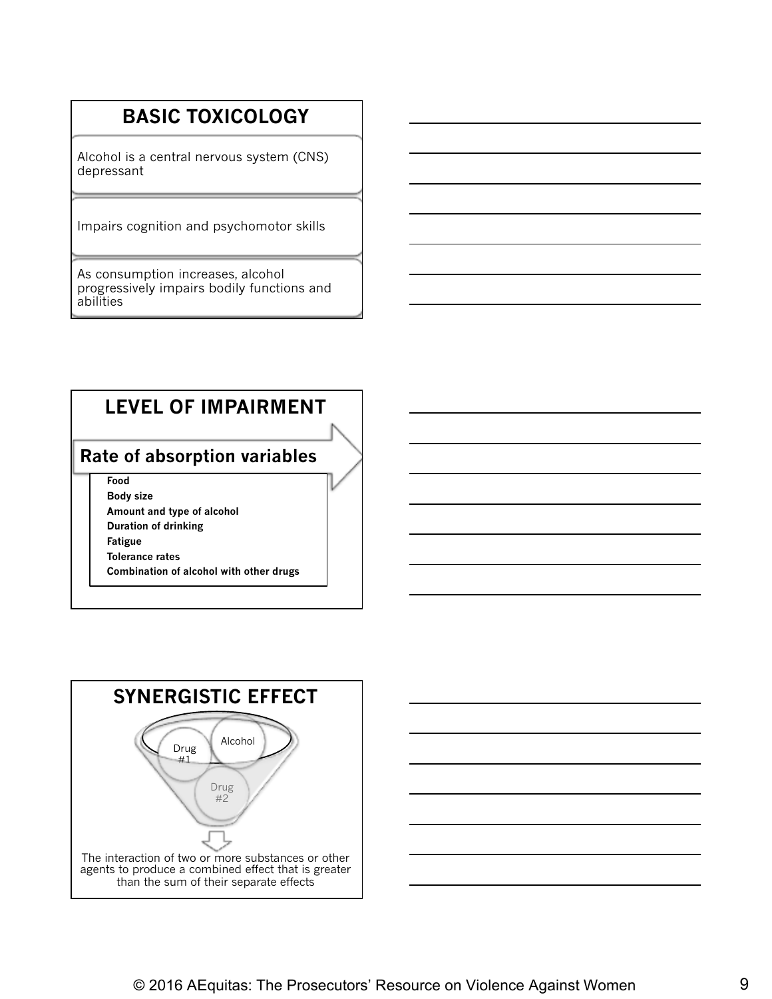#### **BASIC TOXICOLOGY**

Alcohol is a central nervous system (CNS) depressant

Impairs cognition and psychomotor skills

As consumption increases, alcohol progressively impairs bodily functions and abilities

#### **LEVEL OF IMPAIRMENT**

#### **Rate of absorption variables**

**Food Body size**

- **Amount and type of alcohol**
- **Duration of drinking**
- **Fatigue**
- **Tolerance rates**
- **Combination of alcohol with other drugs**



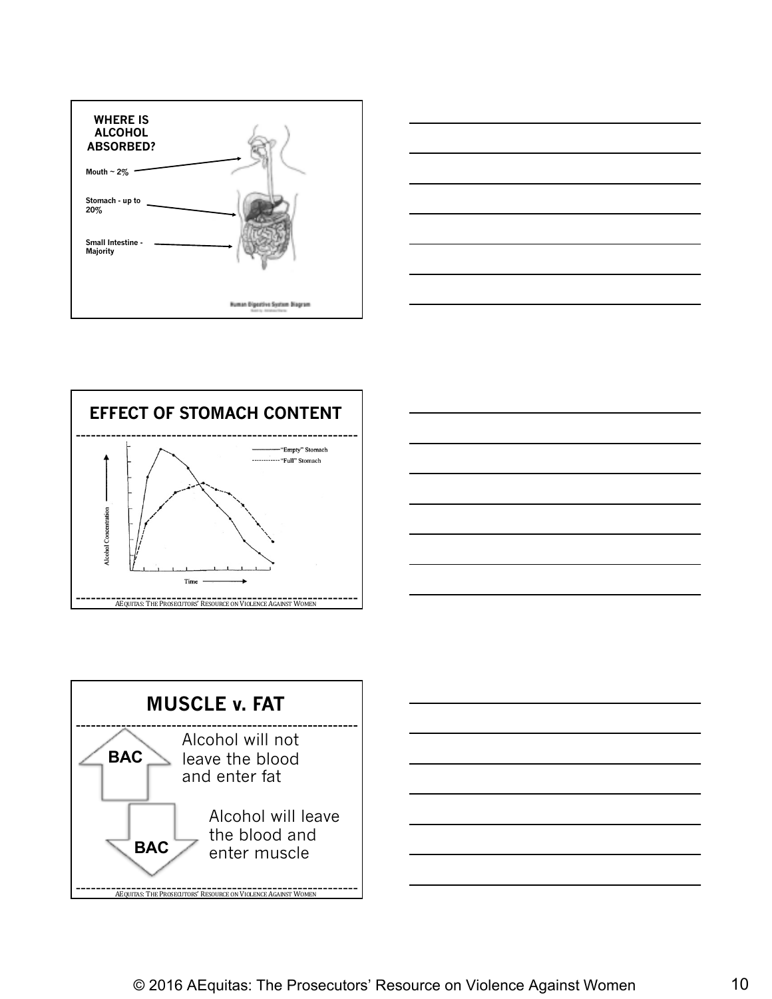









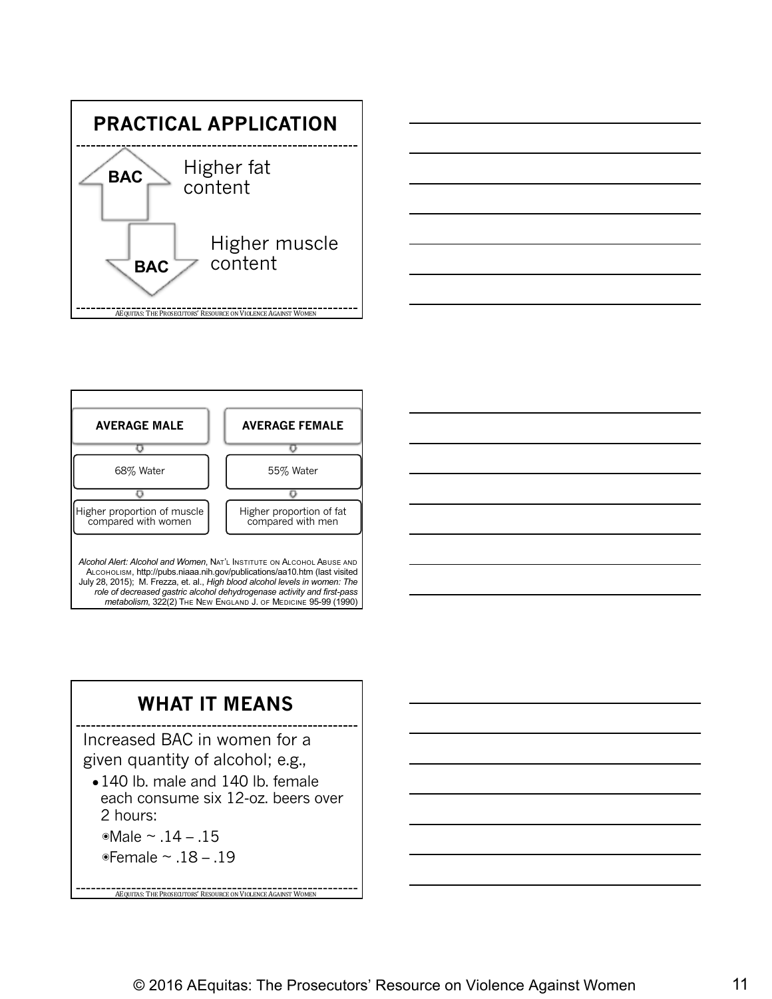





#### **WHAT IT MEANS**

Increased BAC in women for a given quantity of alcohol; e.g.,

• 140 lb. male and 140 lb. female each consume six 12-oz. beers over 2 hours:

**AEQUITAS: THE PROSECUTORS' RESOURCE ON VIOLENCE AGAINST WOMEN** 

◉Male ~ .14 – .15 ◉Female ~ .18 – .19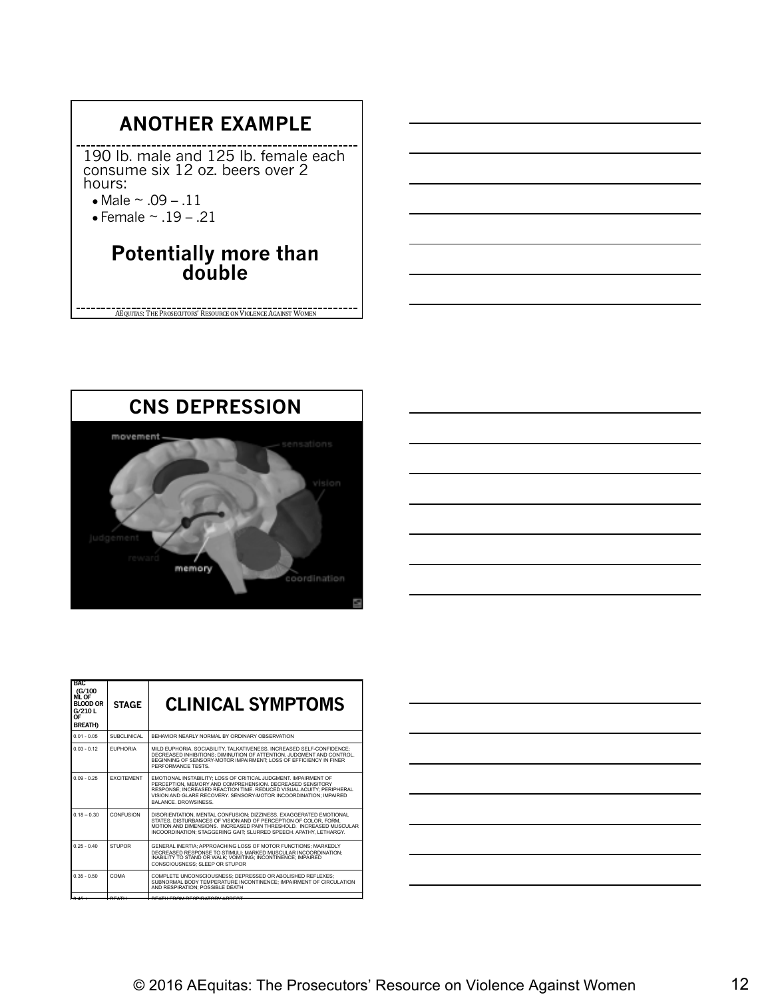#### **ANOTHER EXAMPLE**

190 lb. male and 125 lb. female each consume six 12 oz. beers over 2 hours:

• Male  $\sim .09 - .11$ 

 $\bullet$  Female  $\sim$  .19 - .21

## **Potentially more than double**

AEQUITAS: THE PROSECUTORS' RESOURCE ON VIOLENCE AGAINST WOMEN



| <b>BAC</b><br>(G/100<br><b>ML OF</b><br><b>BLOOD OR</b><br>G/210L<br>0F<br><b>BREATH)</b> | <b>STAGE</b>      | <b>CLINICAL SYMPTOMS</b>                                                                                                                                                                                                                                                                               |
|-------------------------------------------------------------------------------------------|-------------------|--------------------------------------------------------------------------------------------------------------------------------------------------------------------------------------------------------------------------------------------------------------------------------------------------------|
| $0.01 - 0.05$                                                                             | SUBCLINICAL       | BEHAVIOR NEARLY NORMAL BY ORDINARY OBSERVATION                                                                                                                                                                                                                                                         |
| $0.03 - 0.12$                                                                             | <b>FUPHORIA</b>   | MILD EUPHORIA, SOCIABILITY, TALKATIVENESS, INCREASED SELF-CONFIDENCE:<br>DECREASED INHIBITIONS: DIMINUTION OF ATTENTION. JUDGMENT AND CONTROL.<br>BEGINNING OF SENSORY-MOTOR IMPAIRMENT: LOSS OF EFFICIENCY IN FINER<br>PERFORMANCE TESTS                                                              |
| $0.09 - 0.25$                                                                             | <b>FXCITEMENT</b> | EMOTIONAL INSTABILITY: LOSS OF CRITICAL JUDGMENT. IMPAIRMENT OF<br>PERCEPTION, MEMORY AND COMPREHENSION, DECREASED SENSITORY<br>RESPONSE: INCREASED REACTION TIME, REDUCED VISUAL ACUITY: PERIPHERAL<br>VISION AND GLARE RECOVERY. SENSORY-MOTOR INCOORDINATION: IMPAIRED<br><b>BALANCE DROWSINESS</b> |
| $0.18 - 0.30$                                                                             | CONFUSION         | DISORIENTATION. MENTAL CONFUSION: DIZZINESS. EXAGGERATED EMOTIONAL<br>STATES, DISTURBANCES OF VISION AND OF PERCEPTION OF COLOR, FORM.<br>MOTION AND DIMENSIONS. INCREASED PAIN THRESHOLD. INCREASED MUSCULAR<br>INCOORDINATION: STAGGERING GAIT: SLURRED SPEECH, APATHY, LETHARGY.                    |
| $0.25 - 0.40$                                                                             | <b>STUPOR</b>     | GENERAL INERTIA: APPROACHING LOSS OF MOTOR FUNCTIONS: MARKEDLY<br>DECREASED RESPONSE TO STIMULI: MARKED MUSCULAR INCOORDINATION:<br>INABILITY TO STAND OR WALK: VOMITING: INCONTINENCE: IMPAIRED<br>CONSCIOUSNESS: SLEEP OR STUPOR                                                                     |
| $0.35 - 0.50$                                                                             | COMA              | COMPLETE UNCONSCIOUSNESS: DEPRESSED OR ABOLISHED REFLEXES:<br>SUBNORMAL BODY TEMPERATURE INCONTINENCE: IMPAIRMENT OF CIRCULATION<br>AND RESPIRATION: POSSIBLE DEATH                                                                                                                                    |
|                                                                                           |                   |                                                                                                                                                                                                                                                                                                        |

0.45 + DEATH DEATH FROM RESPIRATORY ARREST

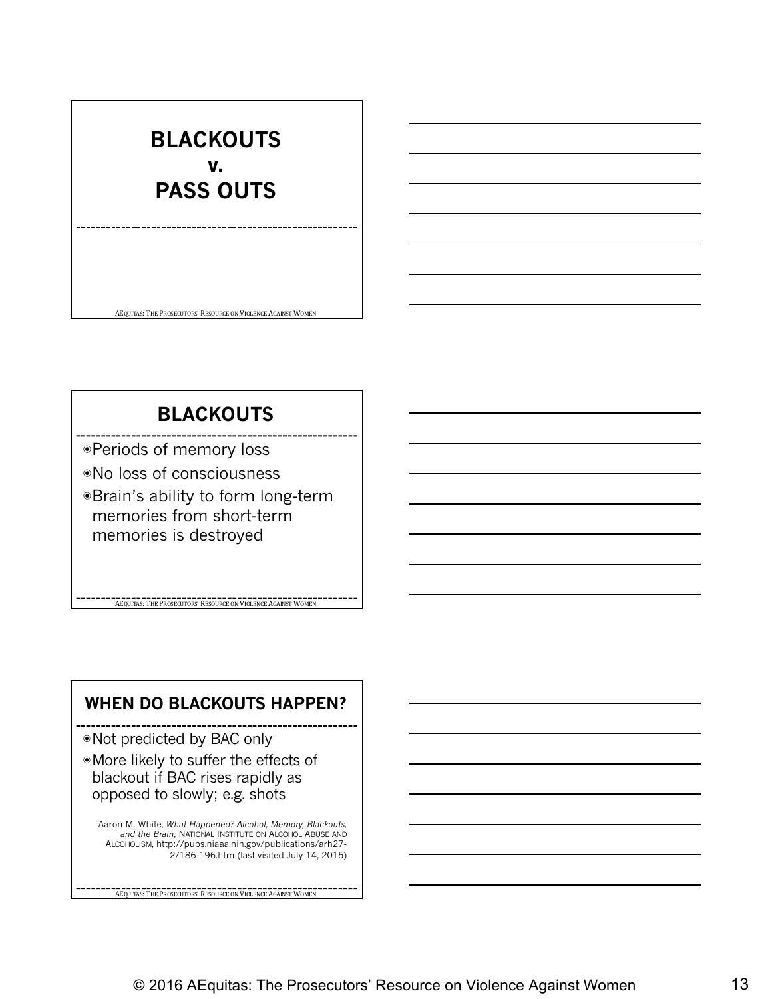## **BLACKOUTS v. PASS OUTS**

#### **BLACKOUTS**

AEQUITAS: THE PROSECUTORS' RESOURCE ON VIOLENCE AGAINST WOMEN

◉Periods of memory loss

◉No loss of consciousness

◉Brain's ability to form long-term memories from short-term memories is destroyed

#### **WHEN DO BLACKOUTS HAPPEN?**

**AEQUITAS: THE PROSECUTORS' RESOURCE ON VIOLENCE AGAINST WOMEN** 

◉Not predicted by BAC only

◉More likely to suffer the effects of blackout if BAC rises rapidly as opposed to slowly; e.g. shots

Aaron M. White, *What Happened? Alcohol, Memory, Blackouts, and the Brain*, NATIONAL INSTITUTE ON ALCOHOL ABUSE AND ALCOHOLISM, http://pubs.niaaa.nih.gov/publications/arh27- 2/186-196.htm (last visited July 14, 2015)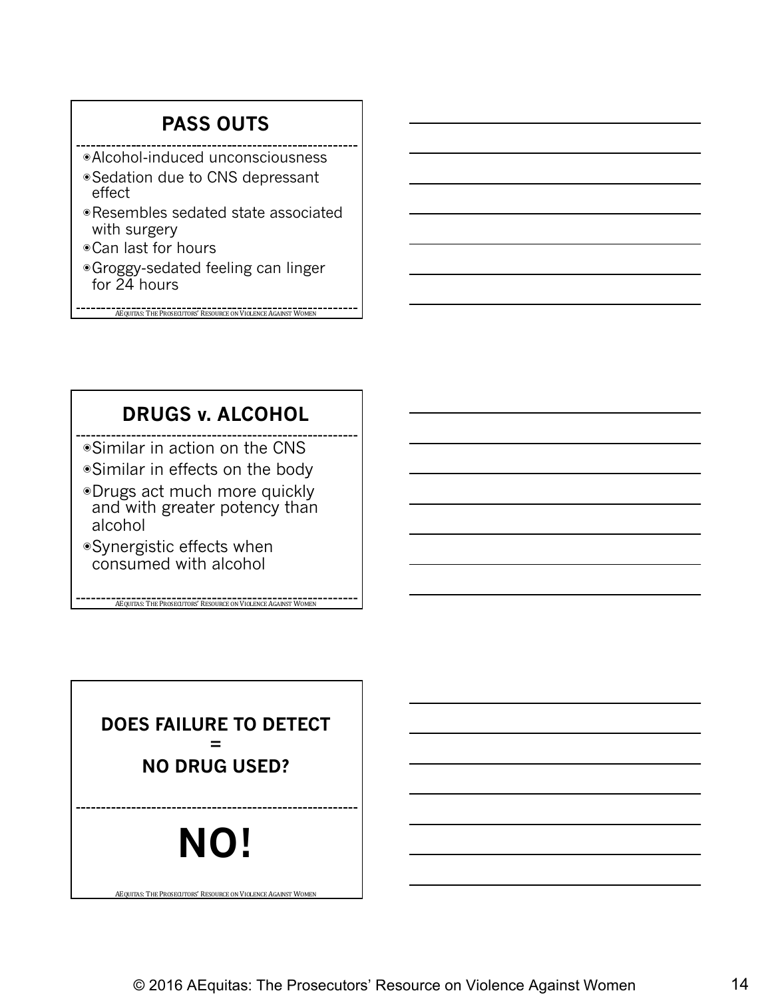#### **PASS OUTS**

- ◉Alcohol-induced unconsciousness
- ◉Sedation due to CNS depressant effect
- ◉Resembles sedated state associated with surgery
- ◉Can last for hours
- ◉Groggy-sedated feeling can linger for 24 hours

AEQUITAS: THE PROSECUTORS' RESOURCE ON VIOLENCE AGAINST WOMEN

#### **DRUGS v. ALCOHOL**

◉Similar in action on the CNS

- ◉Similar in effects on the body
- ◉Drugs act much more quickly and with greater potency than alcohol

**AEQUITAS: THE PROSECUTORS' RESOURCE ON VIOLENCE AGAINST WOMEN** 

◉Synergistic effects when consumed with alcohol

**NO! DOES FAILURE TO DETECT = NO DRUG USED?**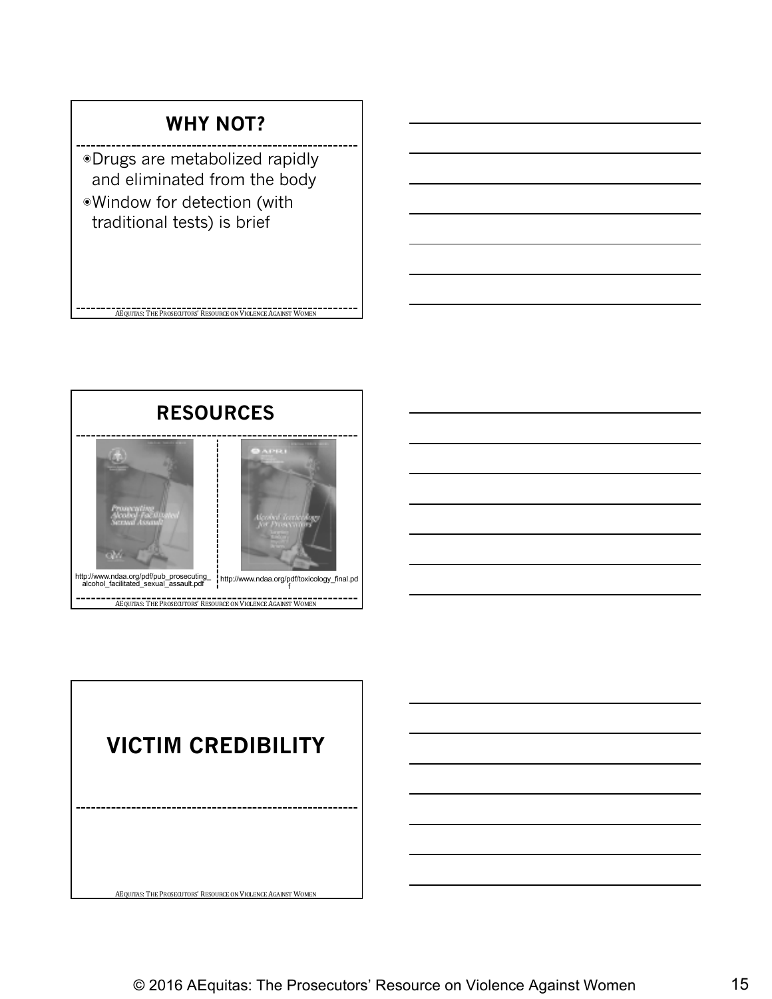#### **WHY NOT?**

◉Drugs are metabolized rapidly and eliminated from the body ◉Window for detection (with traditional tests) is brief

**AEQUITAS:** THE PROSECUTORS' RESOURCE ON VIOLENCE AGAINST WOMEN



AEQUITAS: THE PROSECUTORS' RESOURCE ON VIOLENCE AGAINST WOMEN **VICTIM CREDIBILITY**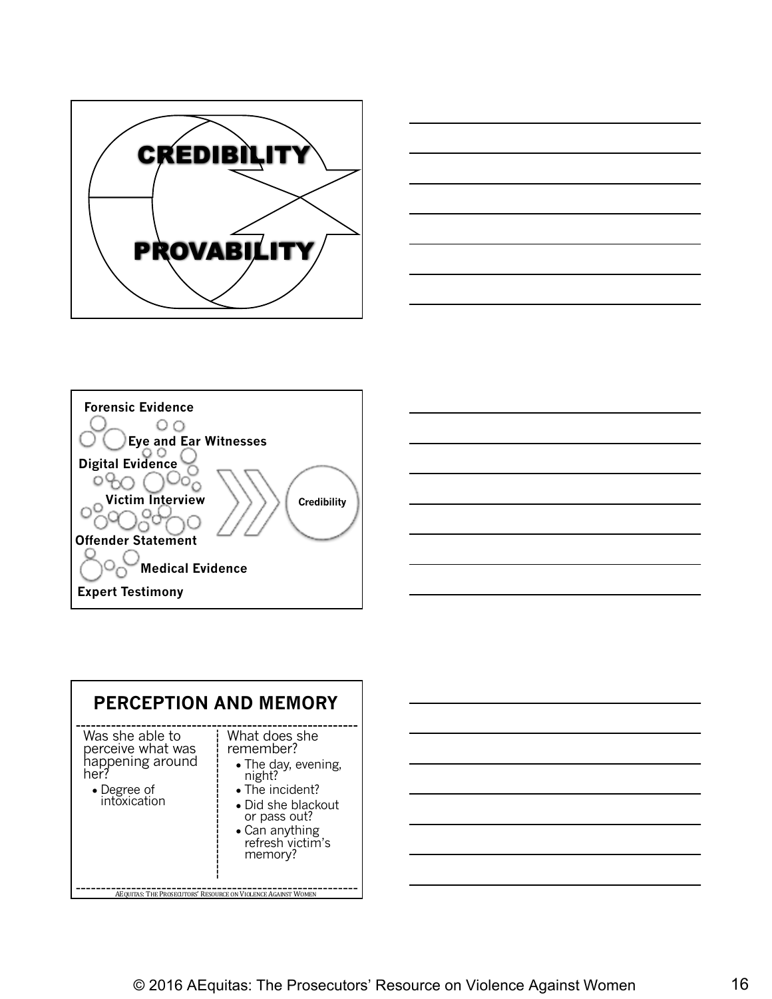









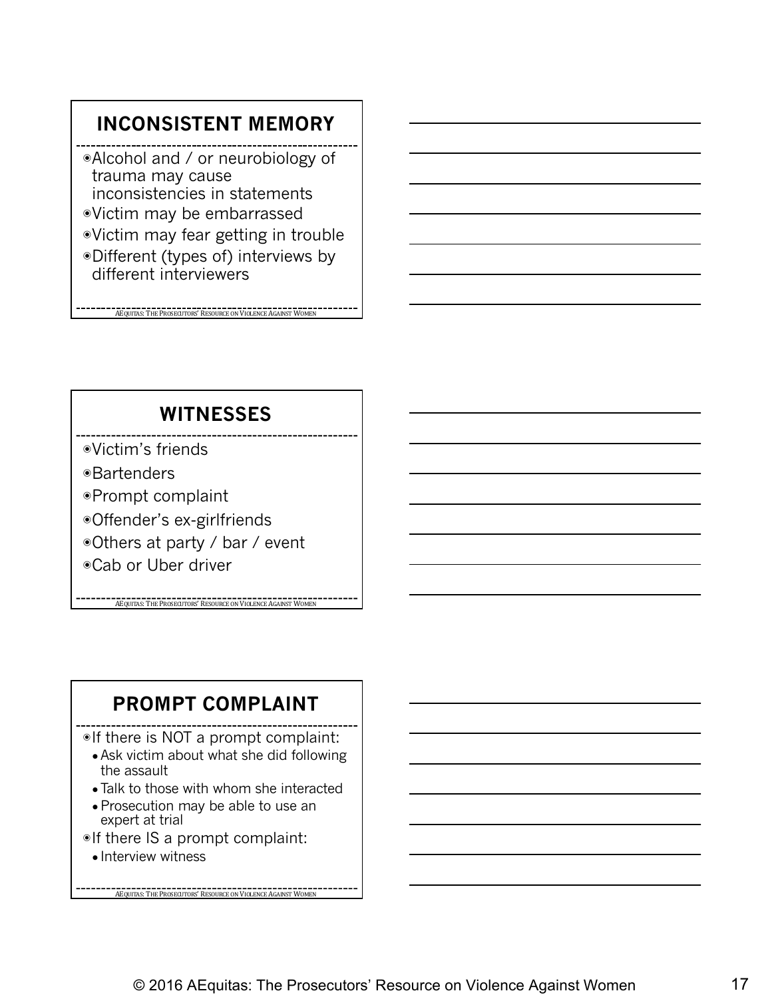#### **INCONSISTENT MEMORY**

◉Alcohol and / or neurobiology of trauma may cause inconsistencies in statements ◉Victim may be embarrassed

- ◉Victim may fear getting in trouble
- ◉Different (types of) interviews by different interviewers

AEQUITAS: THE PROSECUTORS' RESOURCE ON VIOLENCE AGAINST WOMEN

#### **WITNESSES**

- ◉Victim's friends
- ◉Bartenders
- ◉Prompt complaint
- ◉Offender's ex-girlfriends
- ◉Others at party / bar / event
- ◉Cab or Uber driver

**AEQUITAS:** THE PROSECUTORS' RESOURCE ON VIOLENCE AGAINST WOM

#### **PROMPT COMPLAINT**

◉If there is NOT a prompt complaint:

- Ask victim about what she did following the assault
- Talk to those with whom she interacted
- Prosecution may be able to use an expert at trial

- ◉If there IS a prompt complaint:
	- Interview witness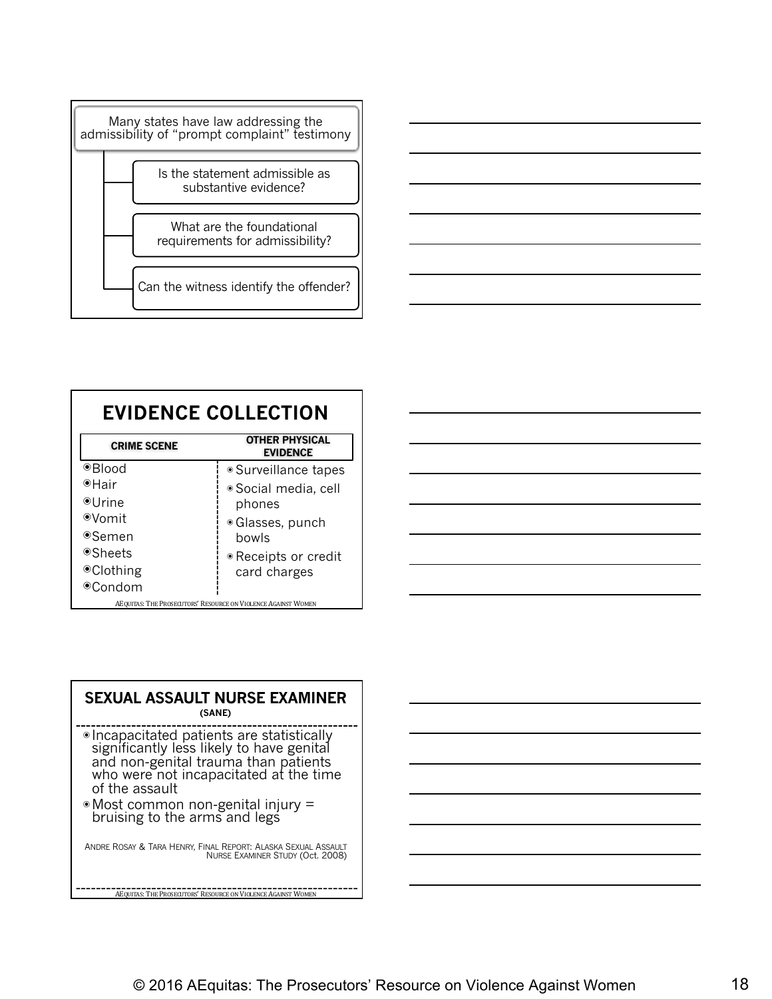

| <b>EVIDENCE COLLECTION</b> |                                                               |  |  |
|----------------------------|---------------------------------------------------------------|--|--|
| <b>CRIME SCENE</b>         | <b>OTHER PHYSICAL</b><br><b>EVIDENCE</b>                      |  |  |
| <sup>●</sup> Blood         | · Surveillance tapes                                          |  |  |
| ⊕Hair                      | · Social media, cell                                          |  |  |
| ⊕Urine                     | phones                                                        |  |  |
| ⊕Vomit                     | • Glasses, punch                                              |  |  |
| ⊕Semen                     | bowls                                                         |  |  |
| ●Sheets                    | • Receipts or credit                                          |  |  |
| <sup>●</sup> Clothing      | card charges                                                  |  |  |
| ⊕Condom                    |                                                               |  |  |
|                            | AEQUITAS: THE PROSECUTORS' RESOURCE ON VIOLENCE AGAINST WOMEN |  |  |

| -   |                                                                      |  |      |
|-----|----------------------------------------------------------------------|--|------|
|     |                                                                      |  |      |
|     |                                                                      |  |      |
|     |                                                                      |  |      |
|     | <u> 1989 - Johann Barbara, martxa alemaniar argametra (h. 1989).</u> |  | ____ |
| ___ |                                                                      |  |      |
|     |                                                                      |  |      |
|     |                                                                      |  |      |

| <b>SEXUAL ASSAULT NURSE EXAMINER</b><br>(SANE)                                                                                                                                              |  |  |
|---------------------------------------------------------------------------------------------------------------------------------------------------------------------------------------------|--|--|
| · Incapacitated patients are statistically<br>significantly less likely to have genital<br>and non-genital trauma than patients<br>who were not incapacitated at the time<br>of the assault |  |  |
| • Most common non-genital injury =<br>bruising to the arms and legs                                                                                                                         |  |  |
| ANDRE ROSAY & TARA HENRY, FINAL REPORT: ALASKA SEXUAL ASSAULT<br>NURSE EXAMINER STUDY (Oct. 2008)                                                                                           |  |  |
| AEQUITAS: THE PROSECUTORS' RESOURCE ON VIOLENCE AGAINST WOMEN                                                                                                                               |  |  |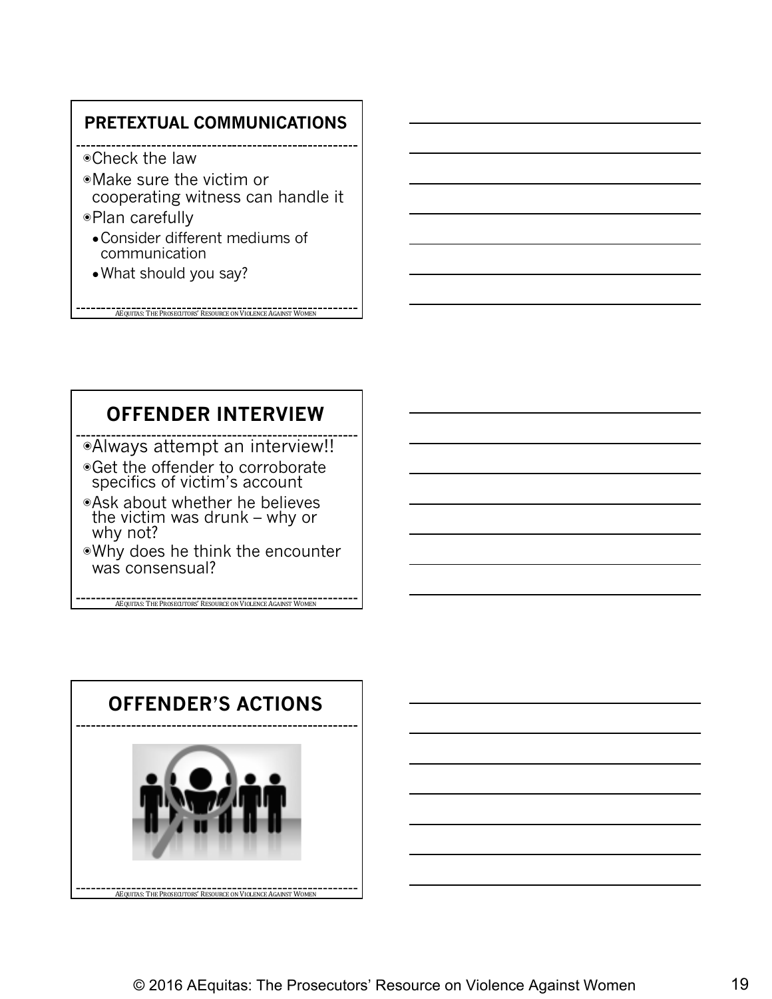#### **PRETEXTUAL COMMUNICATIONS**

- ◉Check the law
- ◉Make sure the victim or cooperating witness can handle it
- ◉Plan carefully
	- Consider different mediums of communication

AEQUITAS: THE PROSECUTORS' RESOURCE ON VIOLENCE AGAINST WOMEN

●What should you say?

**OFFENDER INTERVIEW**

◉Always attempt an interview!!

◉Get the offender to corroborate specifics of victim's account

- ◉Ask about whether he believes the victim was drunk – why or why not?
- ◉Why does he think the encounter was consensual?

**AEQUITAS:** THE PROSECUTORS' RESOURCE ON VIOLENCE AGAINST WOMEN

**AEQUITAS:** THE PROSECUTORS' RESOURCE ON VIOLENCE AGAINST WOMEN **OFFENDER'S ACTIONS**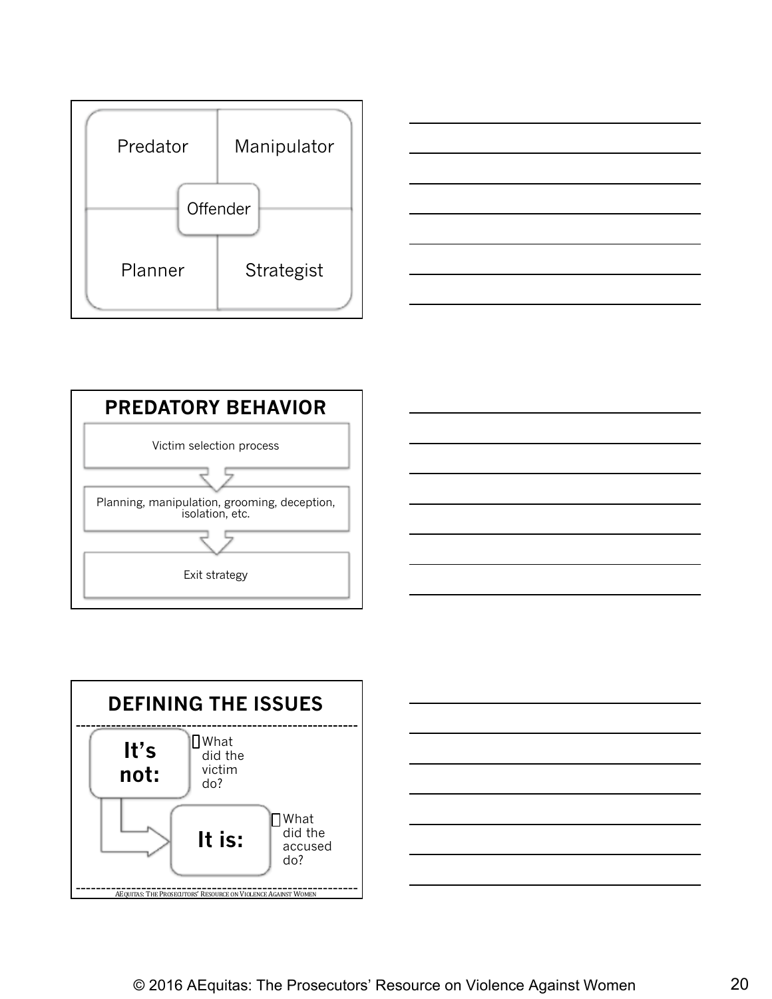









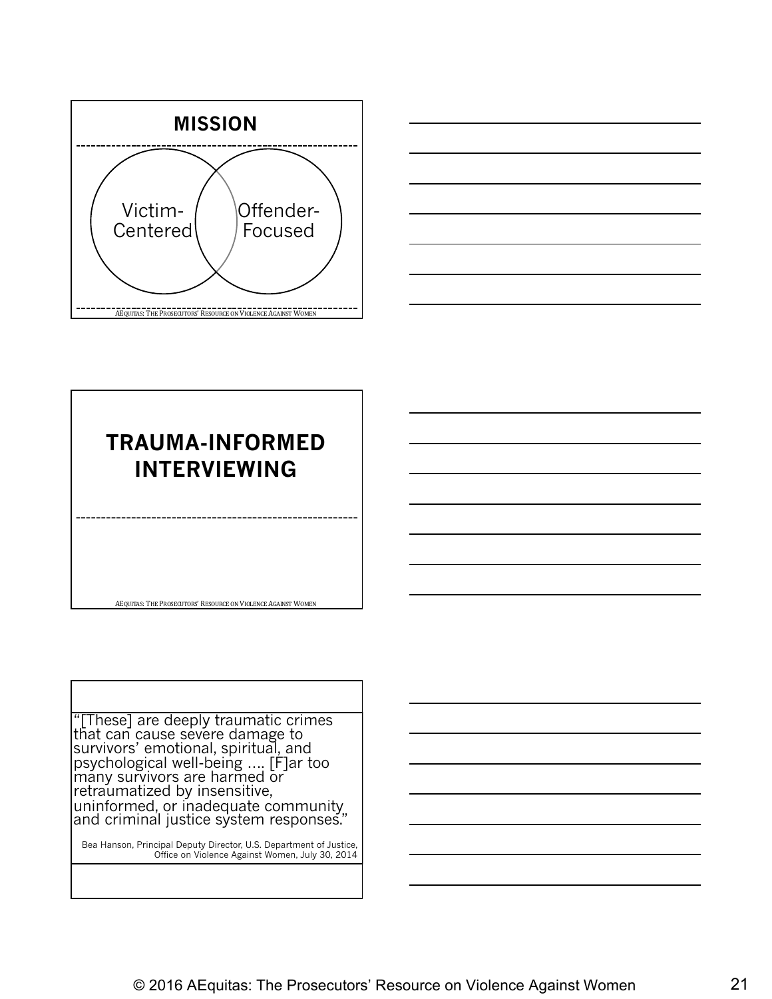



# AEQUITAS: THE PROSECUTORS' RESOURCE ON VIOLENCE AGAINST WOMEN **TRAUMA-INFORMED INTERVIEWING**

"[These] are deeply traumatic crimes that can cause severe damage to survivors' emotional, spiritual, and psychological well-being …. [F]ar too many survivors are harmed or retraumatized by insensitive, uninformed, or inadequate community and criminal justice system responses."

Bea Hanson, Principal Deputy Director, U.S. Department of Justice, Office on Violence Against Women, July 30, 2014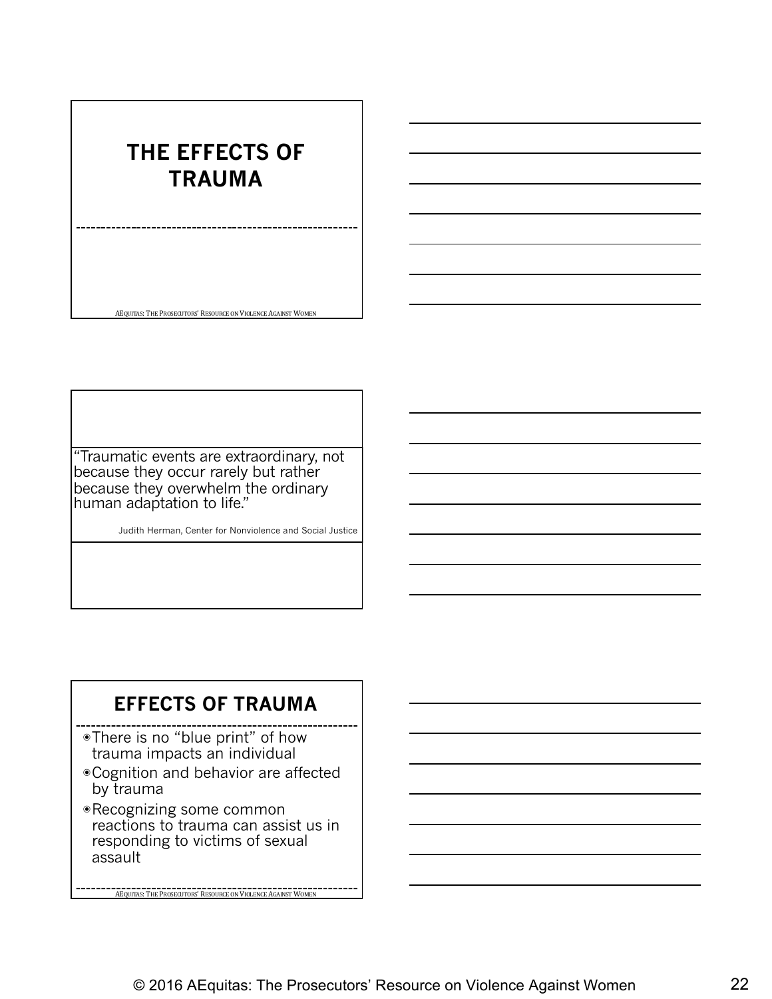#### **THE EFFECTS OF TRAUMA**

AEQUITAS: THE PROSECUTORS' RESOURCE ON VIOLENCE AGAINST WOMEN

"Traumatic events are extraordinary, not because they occur rarely but rather because they overwhelm the ordinary human adaptation to life."

Judith Herman, Center for Nonviolence and Social Justice

#### **EFFECTS OF TRAUMA**

- ◉There is no "blue print" of how trauma impacts an individual
- ◉Cognition and behavior are affected by trauma
- ◉Recognizing some common reactions to trauma can assist us in responding to victims of sexual assault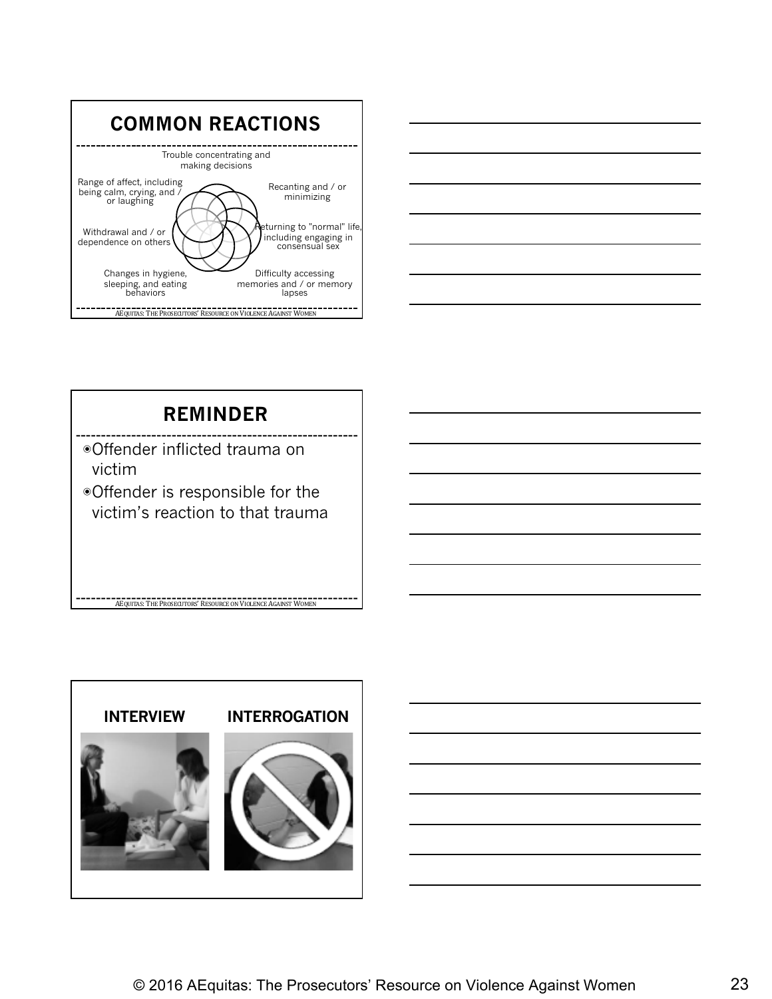



#### **REMINDER**

- ◉Offender inflicted trauma on victim
- ◉Offender is responsible for the victim's reaction to that trauma

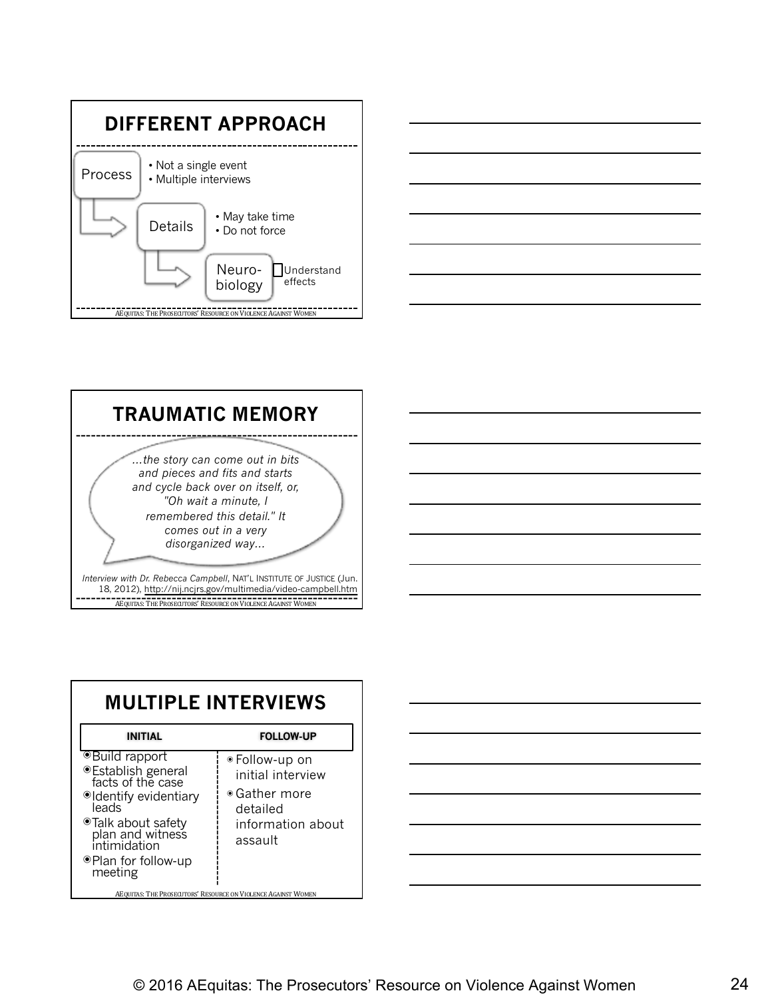





| <b>MULTIPLE INTERVIEWS</b>                                                                                                                                                                          |                                                                                                          |  |
|-----------------------------------------------------------------------------------------------------------------------------------------------------------------------------------------------------|----------------------------------------------------------------------------------------------------------|--|
| <b>INITIAL</b>                                                                                                                                                                                      | <b>FOLLOW-UP</b>                                                                                         |  |
| <sup>●</sup> Build rapport<br>● Establish general<br>facts of the case<br>Oldentify evidentiary<br>leads<br>Talk about safety<br>plan and witness<br>intimidation<br>●Plan for follow-up<br>meeting | ● Follow-up on<br>initial interview<br>$\bullet$ Gather more<br>detailed<br>information about<br>assault |  |
| AEQUITAS: THE PROSECUTORS' RESOURCE ON VIOLENCE AGAINST WOMEN                                                                                                                                       |                                                                                                          |  |

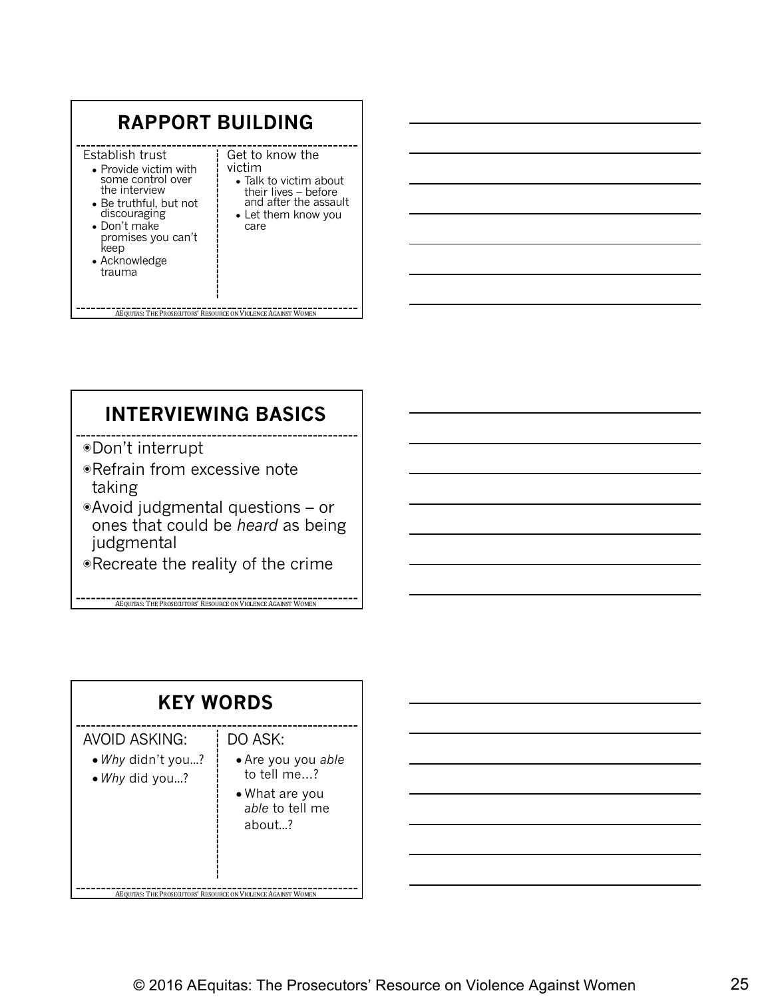| <b>RAPPORT BUILDING</b>                                                                                                                                                                                   |                                                                                                                                             |  |
|-----------------------------------------------------------------------------------------------------------------------------------------------------------------------------------------------------------|---------------------------------------------------------------------------------------------------------------------------------------------|--|
| Establish trust<br>• Provide victim with<br>some control over<br>the interview<br>$\bullet$ Be truthful, but not<br>discouraging<br>• Don't make<br>promises you can't<br>keep<br>• Acknowledge<br>trauma | Get to know the<br>victim<br>$\bullet$ Talk to victim about<br>their lives - before<br>and after the assault<br>• Let them know you<br>care |  |
| AEOUITAS: THE PROSECUTORS' RESOURCE ON VIOLENCE AGAINST WOMEN                                                                                                                                             |                                                                                                                                             |  |

#### **INTERVIEWING BASICS**

- ◉Don't interrupt
- ◉Refrain from excessive note taking
- ◉Avoid judgmental questions or ones that could be *heard* as being judgmental
- ◉Recreate the reality of the crime

**AERO ACCORDING THE PROSECUTORS' RESOURCE ON VIOLENCE AGAINST WOMEN** 

| <b>KEY WORDS</b>                                            |                                                                                             |  |
|-------------------------------------------------------------|---------------------------------------------------------------------------------------------|--|
| <b>AVOID ASKING:</b><br>• Why didn't you?<br>• Why did you? | DO ASK:<br>• Are you you able<br>to tell me?<br>• What are you<br>able to tell me<br>about? |  |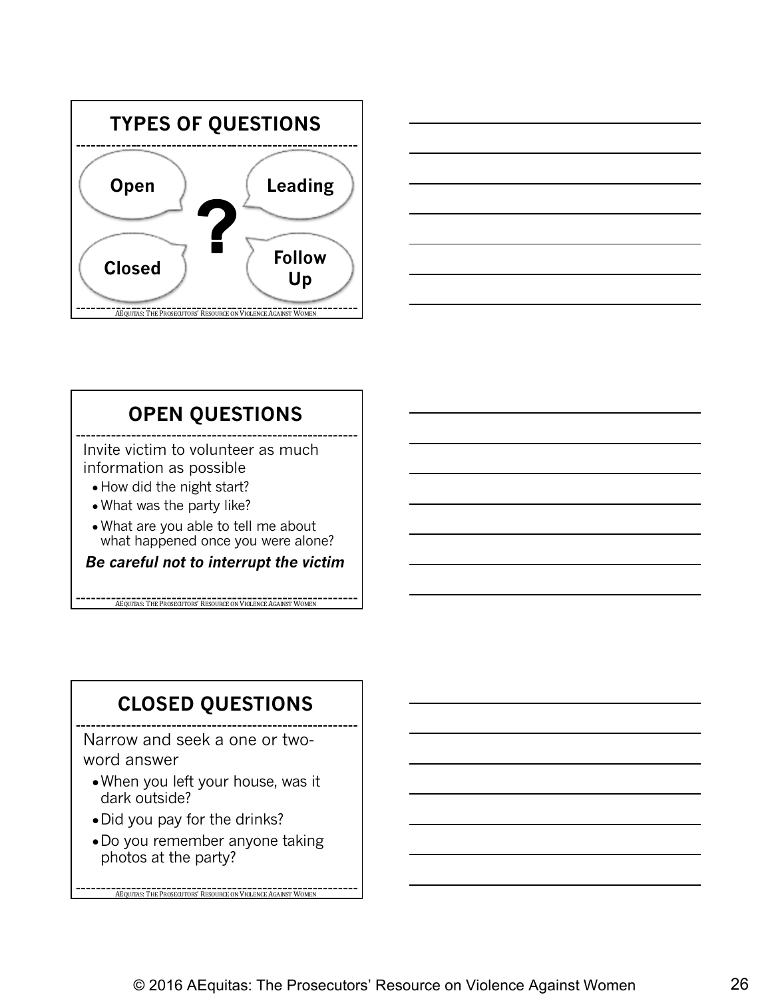



#### **OPEN QUESTIONS**

Invite victim to volunteer as much information as possible

- How did the night start?
- What was the party like?
- What are you able to tell me about what happened once you were alone?

*Be careful not to interrupt the victim*

**AEQUITAS:** THE PROSECUTORS' RESOURCE ON VIOLENCE AGAINST WOM

#### **CLOSED QUESTIONS**

Narrow and seek a one or twoword answer

- When you left your house, was it dark outside?
- Did you pay for the drinks?
- ●Do you remember anyone taking photos at the party?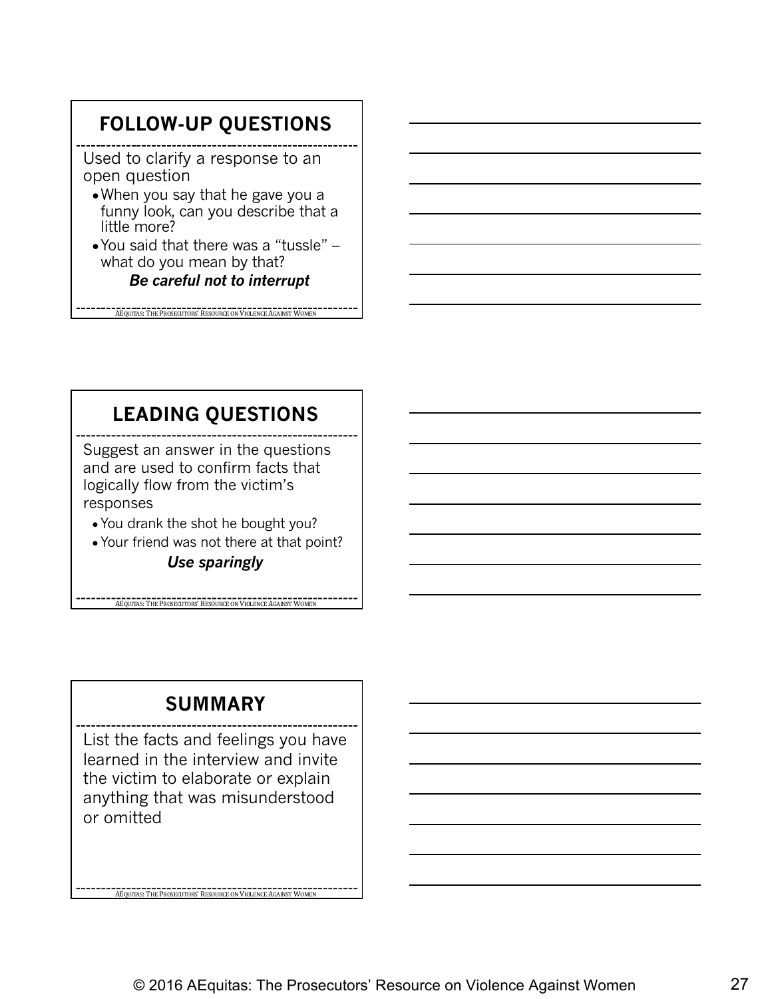#### **FOLLOW-UP QUESTIONS**

Used to clarify a response to an open question

- ●When you say that he gave you a funny look, can you describe that a little more?
- ●You said that there was a "tussle" what do you mean by that? *Be careful not to interrupt*

AEQUITAS: THE PROSECUTORS' RESOURCE ON VIOLENCE AGAINST WOMEN

#### **LEADING QUESTIONS**

Suggest an answer in the questions and are used to confirm facts that logically flow from the victim's responses

- You drank the shot he bought you?
- Your friend was not there at that point?

*Use sparingly*

**ACQUITAS:** THE PROSECUTORS' RESOURCE ON VIOLENCE AGAINST WOM

#### **SUMMARY**

List the facts and feelings you have learned in the interview and invite the victim to elaborate or explain anything that was misunderstood or omitted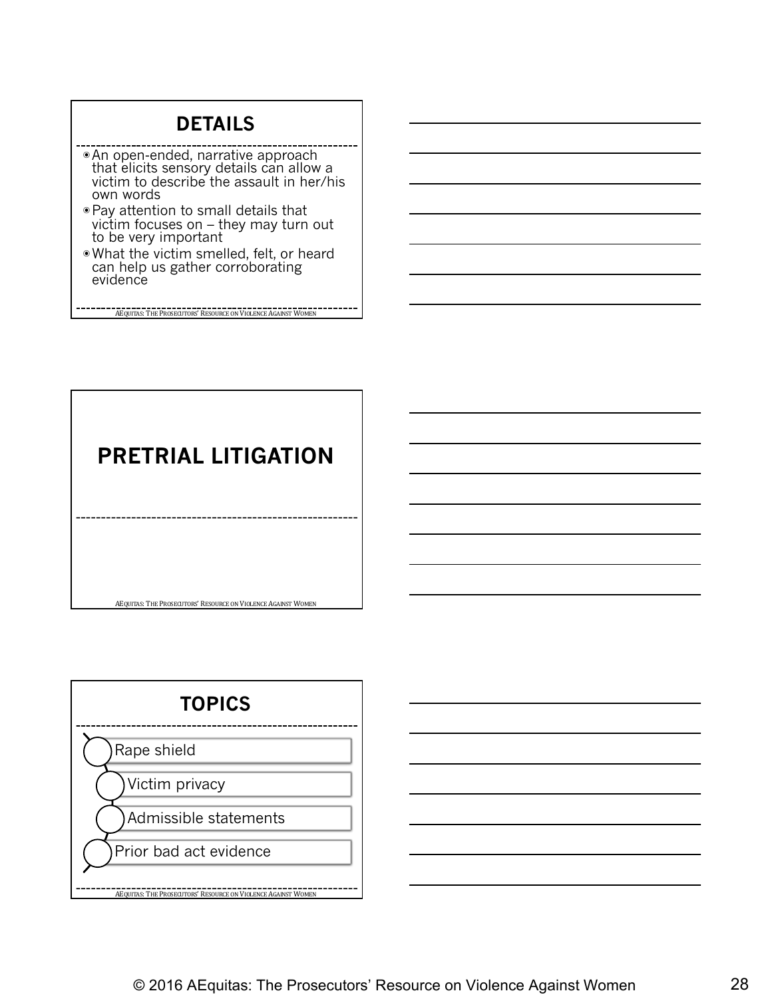#### **DETAILS**

- ◉An open-ended, narrative approach that elicits sensory details can allow a victim to describe the assault in her/his own words
- ◉Pay attention to small details that victim focuses on – they may turn out to be very important
- ◉What the victim smelled, felt, or heard can help us gather corroborating evidence

AEQUITAS: THE PROSECUTORS' RESOURCE ON VIOLENCE AGAINST WOMEN

# **PRETRIAL LITIGATION**



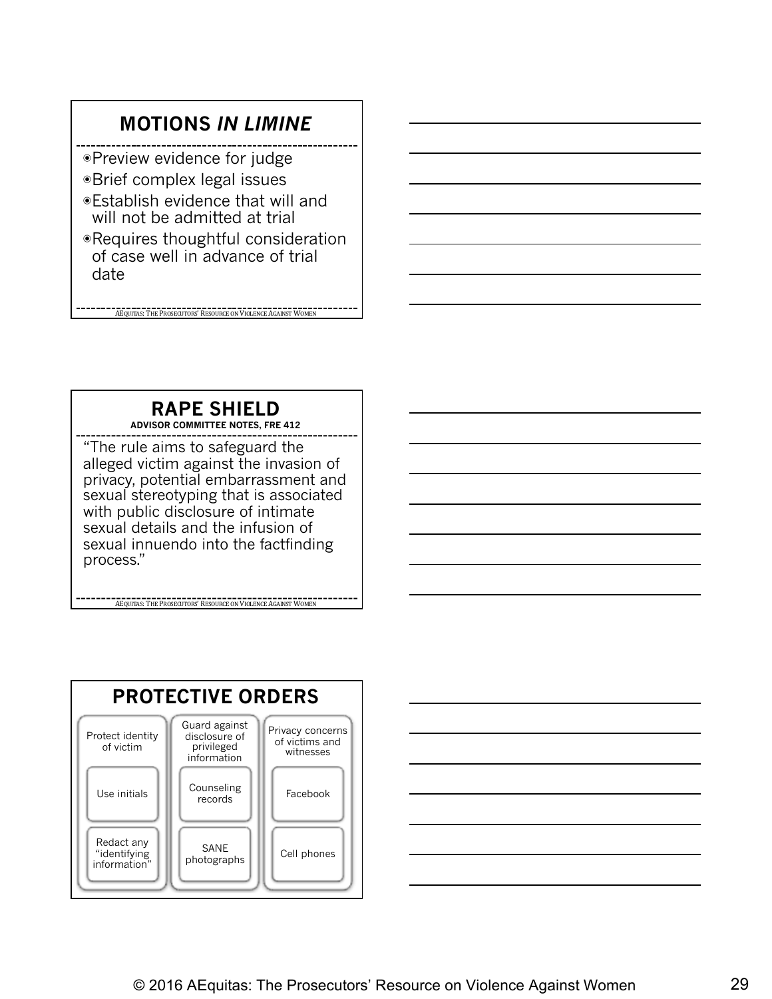#### **MOTIONS** *IN LIMINE*

- ◉Preview evidence for judge
- ◉Brief complex legal issues
- ◉Establish evidence that will and will not be admitted at trial
- ◉Requires thoughtful consideration of case well in advance of trial date

AEQUITAS: THE PROSECUTORS' RESOURCE ON VIOLENCE AGAINST WOMEN

#### **RAPE SHIELD**

**ADVISOR COMMITTEE NOTES, FRE 412**

"The rule aims to safeguard the alleged victim against the invasion of privacy, potential embarrassment and sexual stereotyping that is associated with public disclosure of intimate sexual details and the infusion of sexual innuendo into the factfinding process."



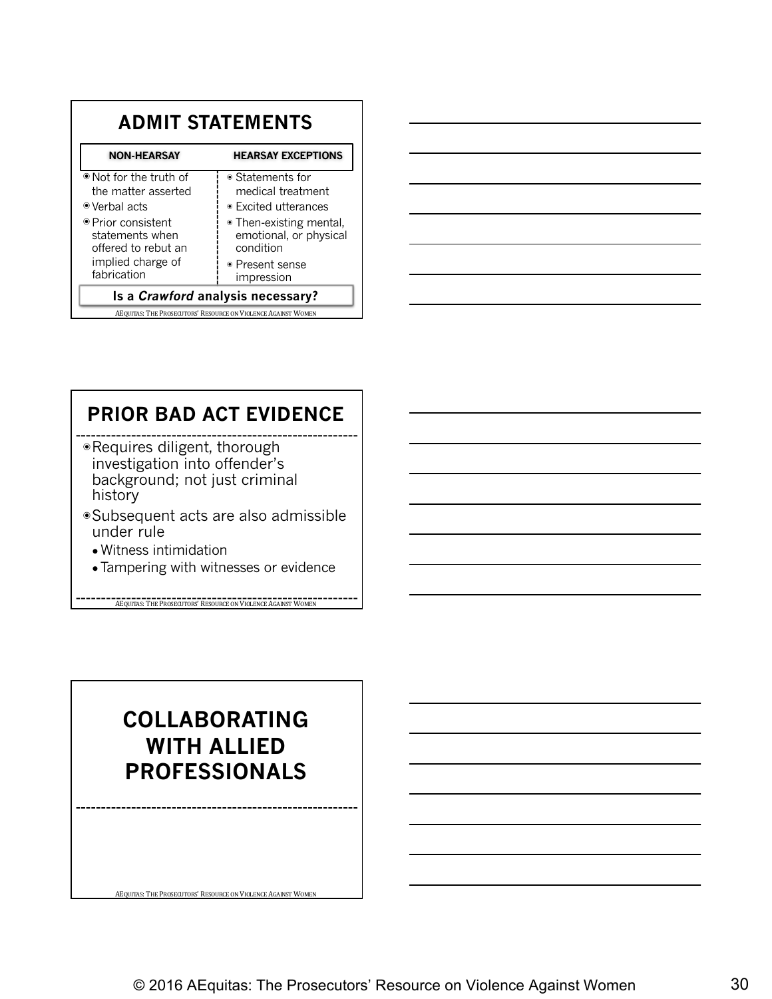| <b>ADMIT STATEMENTS</b>                                        |                                                                |  |
|----------------------------------------------------------------|----------------------------------------------------------------|--|
| <b>HEARSAY EXCEPTIONS</b><br><b>NON-HEARSAY</b>                |                                                                |  |
| ● Not for the truth of<br>the matter asserted<br>⊕ Verbal acts | • Statements for<br>medical treatment<br>● Excited utterances  |  |
| ● Prior consistent<br>statements when<br>offered to rebut an   | • Then-existing mental,<br>emotional, or physical<br>condition |  |
| implied charge of<br>fabrication                               | • Present sense<br>impression                                  |  |
| Is a <i>Crawford</i> analysis necessary?                       |                                                                |  |
| AEQUITAS: THE PROSECUTORS' RESOURCE ON VIOLENCE AGAINST WOMEN  |                                                                |  |



#### **PRIOR BAD ACT EVIDENCE**

- ◉Requires diligent, thorough investigation into offender's background; not just criminal history
- ◉Subsequent acts are also admissible under rule
	- Witness intimidation
	- Tampering with witnesses or evidence

**AEQUITAS: THE PROSECUTORS' RESOURCE ON VIOLENCE AGAINST WOMEN** 

#### **COLLABORATING WITH ALLIED PROFESSIONALS**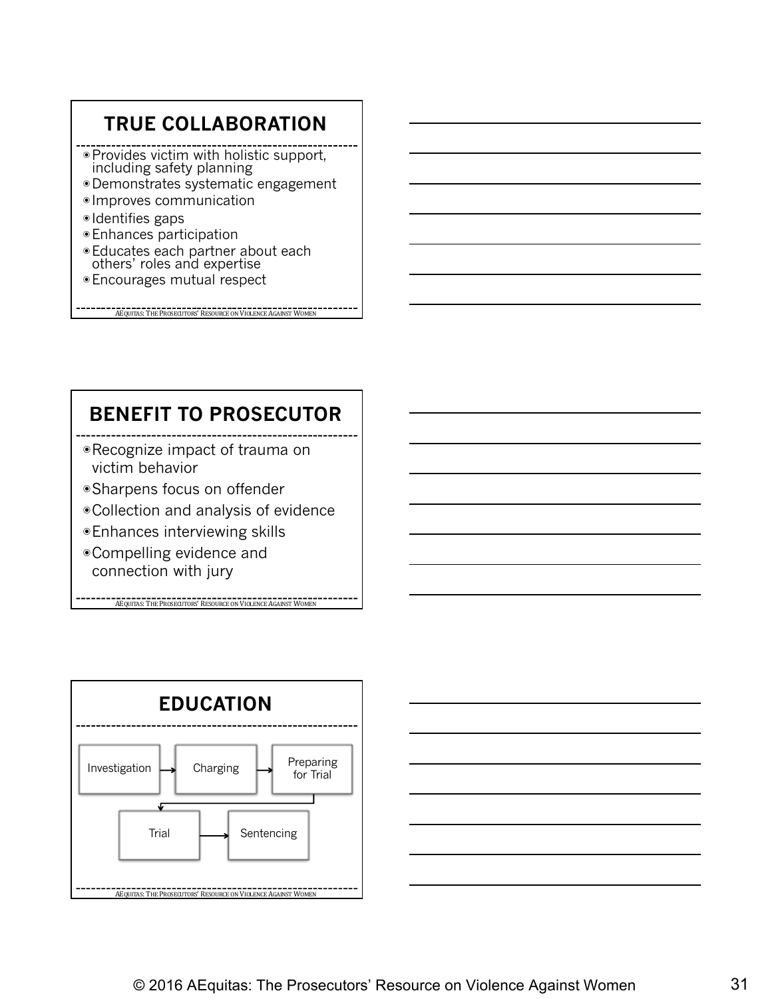#### **TRUE COLLABORATION**

- ◉Provides victim with holistic support, including safety planning
- ◉Demonstrates systematic engagement
- ◉ Improves communication
- ◉ Identifies gaps
- ◉Enhances participation
- ◉Educates each partner about each others' roles and expertise
- ◉Encourages mutual respect

AEQUITAS: THE PROSECUTORS' RESOURCE ON VIOLENCE AGAINST WOMEN

#### **BENEFIT TO PROSECUTOR**

- ◉Recognize impact of trauma on victim behavior
- ◉Sharpens focus on offender
- ◉Collection and analysis of evidence
- ◉Enhances interviewing skills
- ◉Compelling evidence and connection with jury



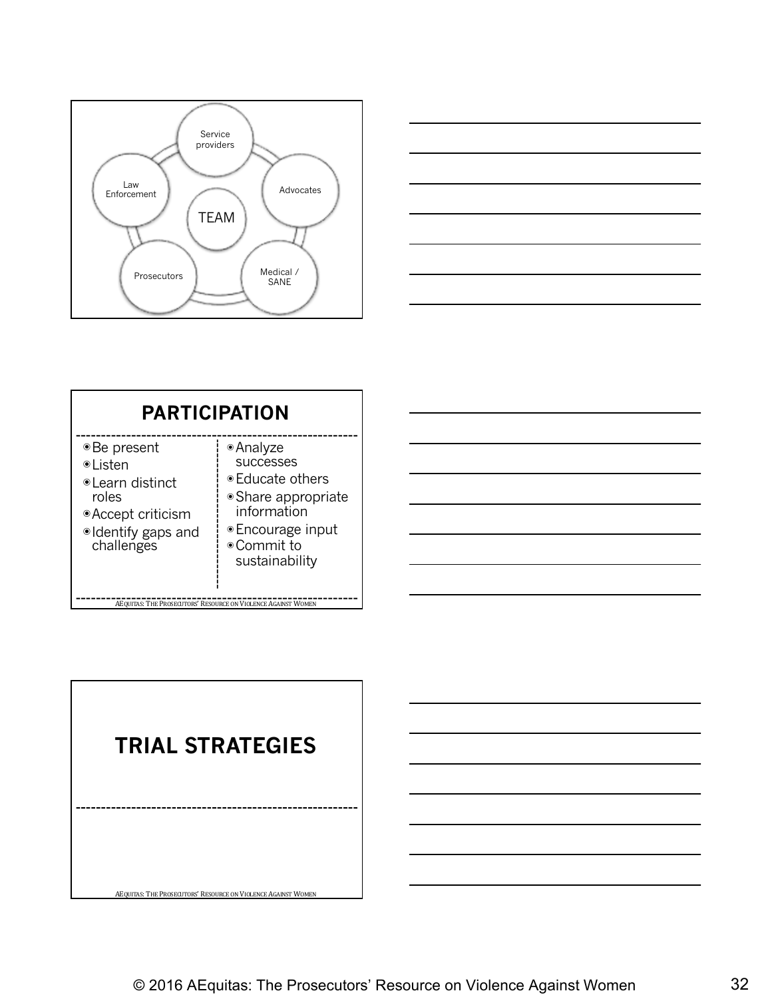



| <b>PARTICIPATION</b>                                                                                                |                                                                                                                                               |  |
|---------------------------------------------------------------------------------------------------------------------|-----------------------------------------------------------------------------------------------------------------------------------------------|--|
| ⊕Be present<br><b>•Listen</b><br>⊕Learn distinct<br>roles<br>● Accept criticism<br>·Identify gaps and<br>challenges | • Analyze<br><b>SUCCESSES</b><br>● Educate others<br>• Share appropriate<br>information<br>● Encourage input<br>● Commit to<br>sustainability |  |
| AEQUITAS: THE PROSECUTORS' RESOURCE ON VIOLENCE AGAINST WOMEN                                                       |                                                                                                                                               |  |

**TRIAL STRATEGIES**AEQUITAS: THE PROSECUTORS' RESOURCE ON VIOLENCE AGAINST WOMEN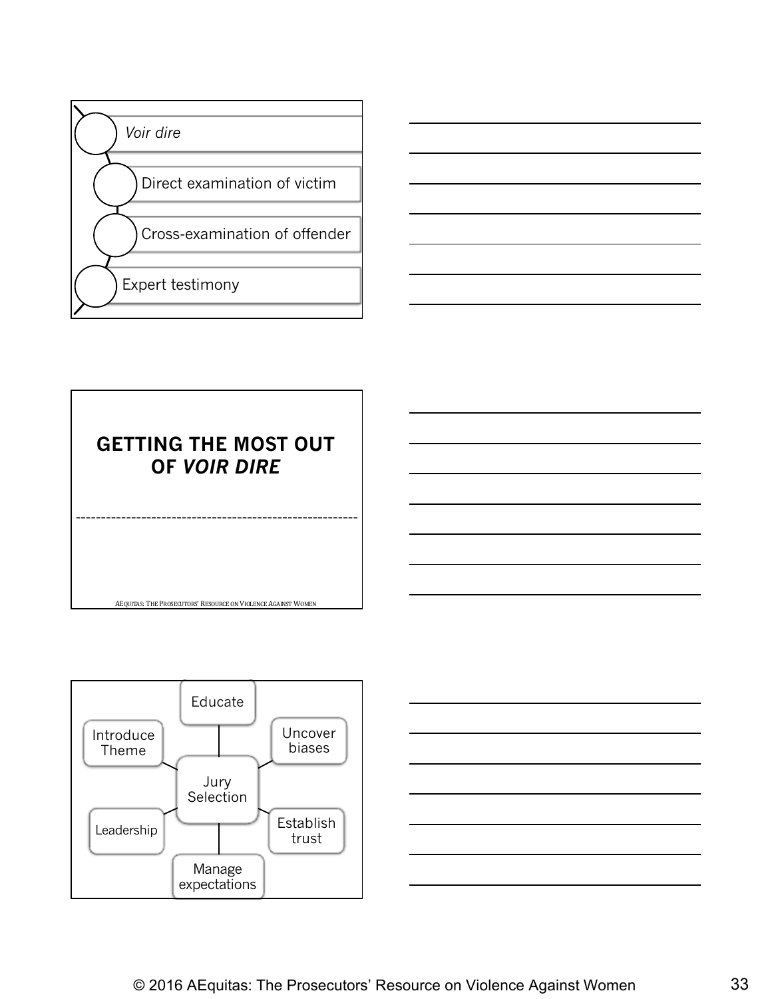





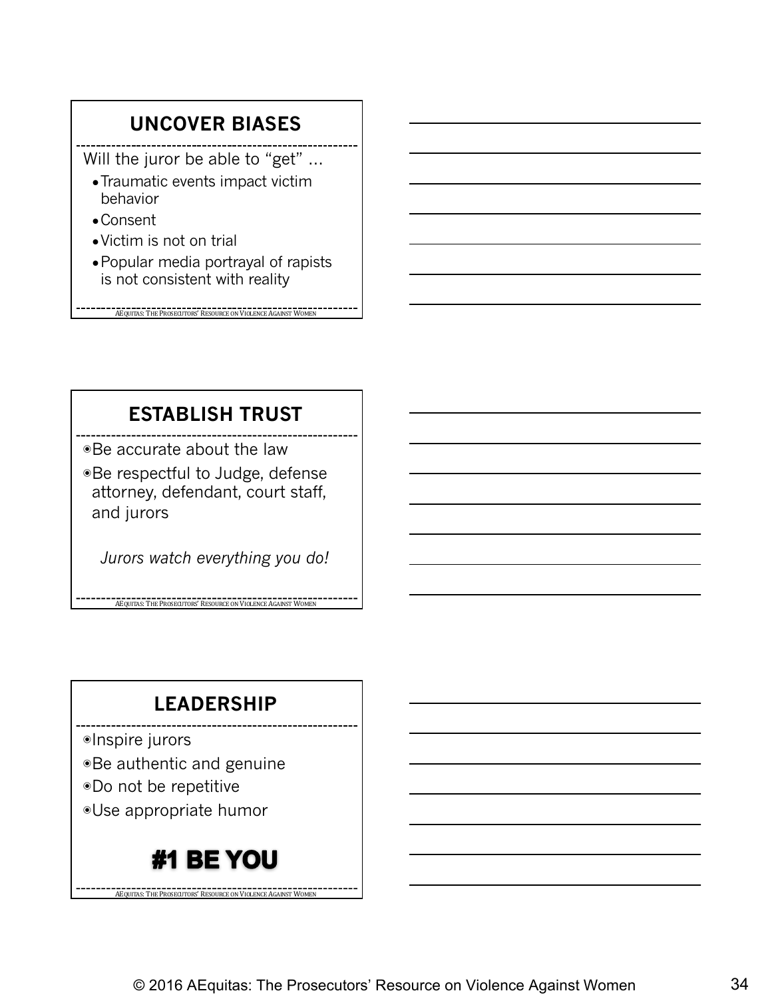#### **UNCOVER BIASES**

Will the juror be able to "get" ...

- ●Traumatic events impact victim behavior
- ●Consent
- ●Victim is not on trial
- ●Popular media portrayal of rapists is not consistent with reality

AEQUITAS: THE PROSECUTORS' RESOURCE ON VIOLENCE AGAINST WOMEN

#### **ESTABLISH TRUST**

◉Be accurate about the law

◉Be respectful to Judge, defense attorney, defendant, court staff, and jurors

*Jurors watch everything you do!*

**AEQUITAS:** THE PROSECUTORS' RESOURCE ON VIOLENCE AGAINST WOME

#### **LEADERSHIP**

◉Inspire jurors

- ◉Be authentic and genuine
- ◉Do not be repetitive

◉Use appropriate humor

#### #1 BE YOU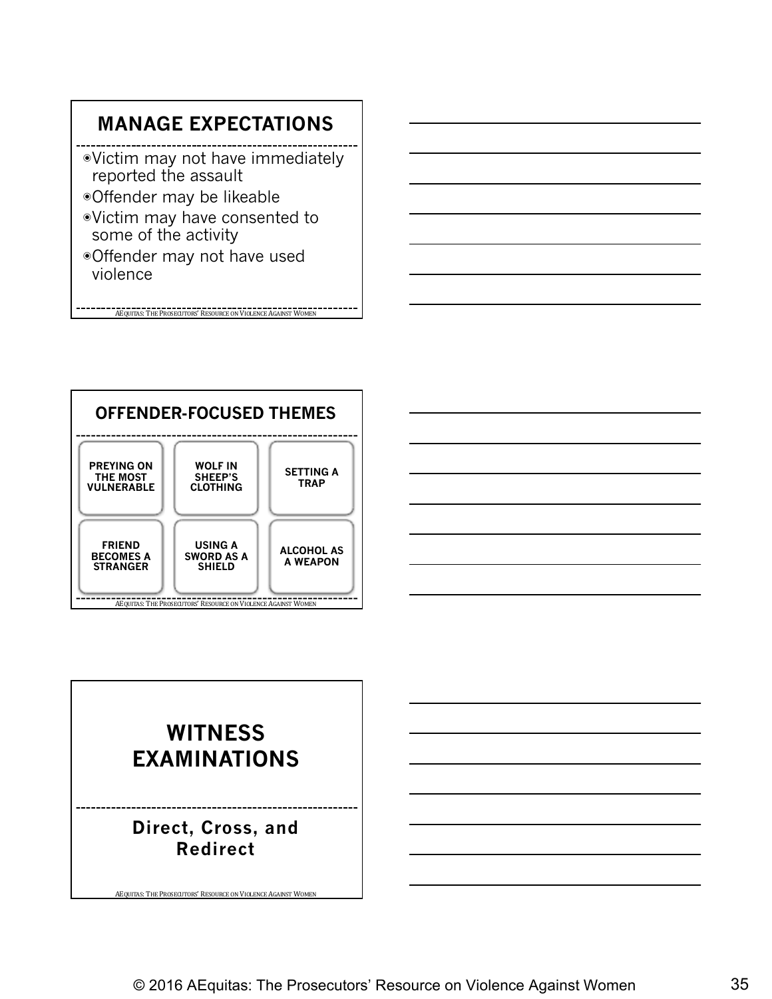#### **MANAGE EXPECTATIONS**

- ◉Victim may not have immediately reported the assault
- ◉Offender may be likeable
- ◉Victim may have consented to some of the activity
- ◉Offender may not have used violence

AEQUITAS: THE PROSECUTORS' RESOURCE ON VIOLENCE AGAINST WOMEN





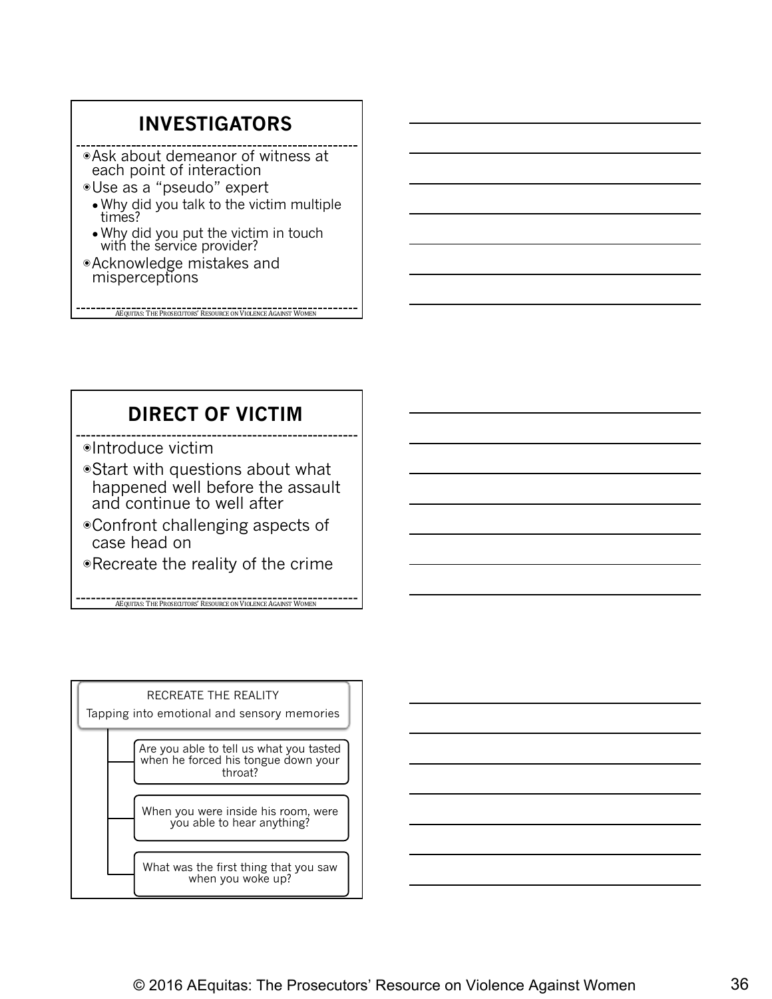#### **INVESTIGATORS**

◉Ask about demeanor of witness at each point of interaction

- ◉Use as a "pseudo" expert ● Why did you talk to the victim multiple times?
	- Why did you put the victim in touch with the service provider?

AEQUITAS: THE PROSECUTORS' RESOURCE ON VIOLENCE AGAINST WOMEN

◉Acknowledge mistakes and misperceptions

**DIRECT OF VICTIM**

◉Introduce victim

- ◉Start with questions about what happened well before the assault and continue to well after
- ◉Confront challenging aspects of case head on

◉Recreate the reality of the crime

**AEQUITAS:** THE PROSECUTORS' RESOURCE ON VIOLENCE AGAINST WOMEN

RECREATE THE REALITY Tapping into emotional and sensory memories Are you able to tell us what you tasted when he forced his tongue down your throat? When you were inside his room, were you able to hear anything? What was the first thing that you saw when you woke up?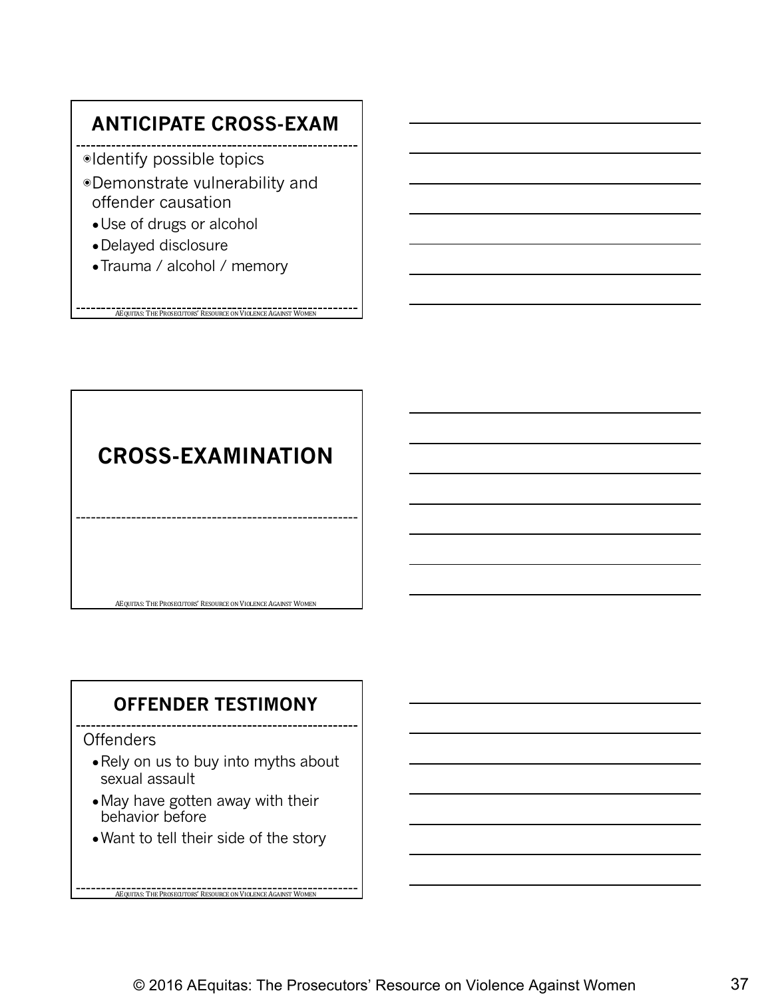#### **ANTICIPATE CROSS-EXAM**

- ◉Identify possible topics
- ◉Demonstrate vulnerability and offender causation
	- Use of drugs or alcohol
	- ●Delayed disclosure
	- Trauma / alcohol / memory

**AEQUITAS: THE PROSECUTORS' RESOURCE ON VIOLENCE AGAINST WOMEN** 

### **CROSS-EXAMINATION**

#### **OFFENDER TESTIMONY**

AEQUITAS: THE PROSECUTORS' RESOURCE ON VIOLENCE AGAINST WOMEN

#### **Offenders**

- Rely on us to buy into myths about sexual assault
- May have gotten away with their behavior before
- Want to tell their side of the story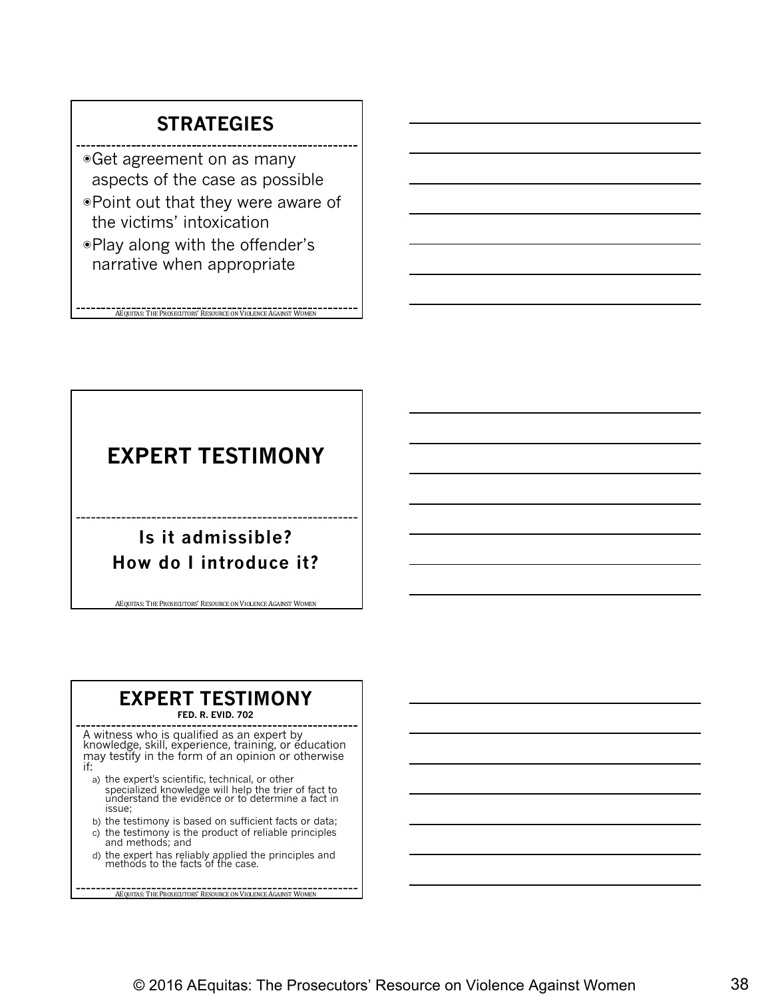#### **STRATEGIES**

- ◉Get agreement on as many aspects of the case as possible
- ◉Point out that they were aware of the victims' intoxication
- ◉Play along with the offender's narrative when appropriate

**AEQUITAS: THE PROSECUTORS' RESOURCE ON VIOLENCE AGAINST WOMEN** 

#### **EXPERT TESTIMONY**

#### **Is it admissible? How do I introduce it?**

AEQUITAS: THE PROSECUTORS' RESOURCE ON VIOLENCE AGAINST WOMEN

#### **EXPERT TESTIMONY**

**FED. R. EVID. 702**

A witness who is qualified as an expert by knowledge, skill, experience, training, or education may testify in the form of an opinion or otherwise if:

- a) the expert's scientific, technical, or other specialized knowledge will help the trier of fact to understand the evidence or to determine a fact in issue;
- b) the testimony is based on sufficient facts or data; c) the testimony is the product of reliable principles
- and methods; and d) the expert has reliably applied the principles and methods to the facts of the case.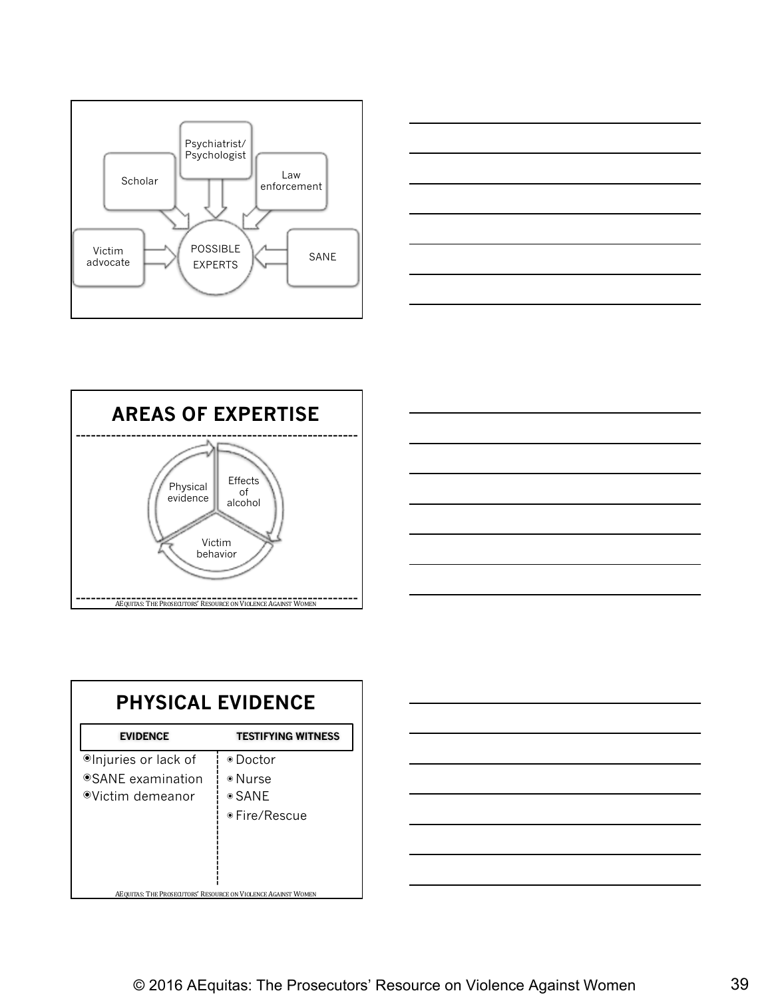







| <b>PHYSICAL EVIDENCE</b>                                                  |                                                             |  |  |
|---------------------------------------------------------------------------|-------------------------------------------------------------|--|--|
| <b>EVIDENCE</b>                                                           | <b>TESTIFYING WITNESS</b>                                   |  |  |
| <sup>●</sup> Injuries or lack of<br>●SANE examination<br>⊕Victim demeanor | ⊕ Doctor<br>⊕Nurse<br>$\circ$ SANE<br>$\bullet$ Fire/Rescue |  |  |
| AEQUITAS: THE PROSECUTORS' RESOURCE ON VIOLENCE AGAINST WOMEN             |                                                             |  |  |

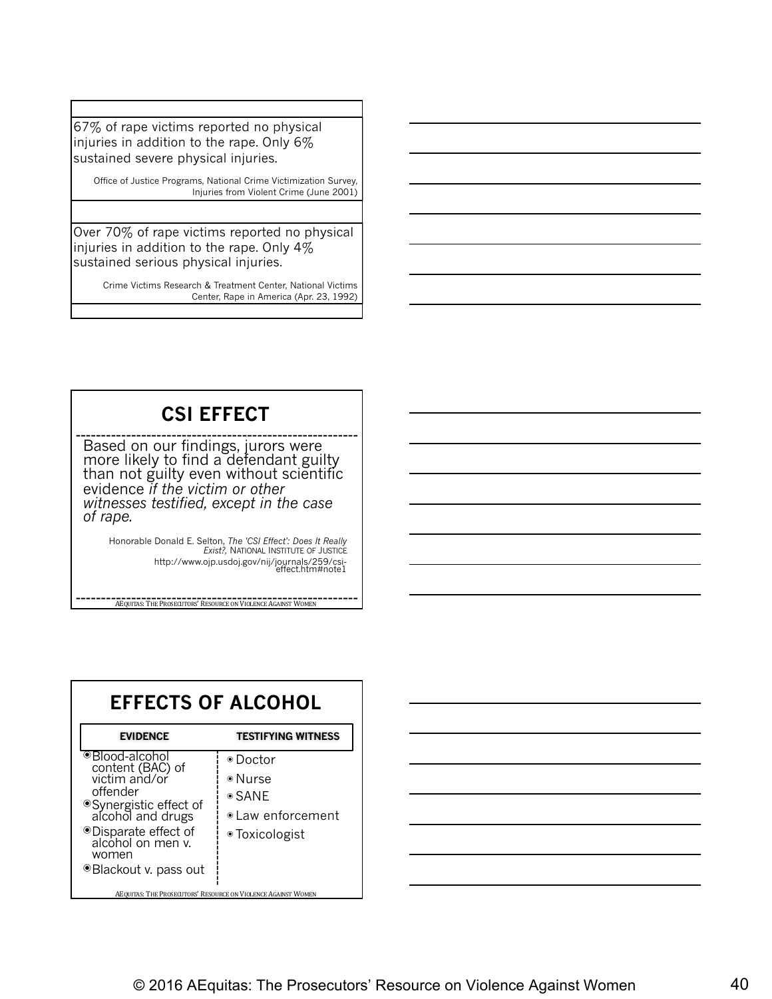67% of rape victims reported no physical injuries in addition to the rape. Only 6% sustained severe physical injuries.

Office of Justice Programs, National Crime Victimization Survey, Injuries from Violent Crime (June 2001)

Over 70% of rape victims reported no physical injuries in addition to the rape. Only 4% sustained serious physical injuries.

> Crime Victims Research & Treatment Center, National Victims Center, Rape in America (Apr. 23, 1992)

#### **CSI EFFECT**

Based on our findings, jurors were more likely to find a defendant guilty than not guilty even without scientific evidence *if the victim or other witnesses testified, except in the case of rape.*

Honorable Donald E. Selton, *The 'CSI Effect': Does It Really Exist?,* NATIONAL INSTITUTE OF JUSTICE http://www.ojp.usdoj.gov/nij/journals/259/csi-<br>effect.htm#note1

| <b>EFFECTS OF ALCOHOL</b>                                                                                                                                                                        |                                                                           |  |
|--------------------------------------------------------------------------------------------------------------------------------------------------------------------------------------------------|---------------------------------------------------------------------------|--|
| <b>EVIDENCE</b>                                                                                                                                                                                  | <b>TESTIFYING WITNESS</b>                                                 |  |
| ●Blood-alcohol<br>content (BAC) of<br>victim and/or<br>offender<br>● Synergistic effect of<br>alcohol and drugs<br>● Disparate effect of<br>alcohol on men v.<br>women<br>● Blackout v. pass out | ⊛ Doctor<br>⊛Nurse<br>$\circ$ SANE<br>• Law enforcement<br>● Toxicologist |  |
| AEQUITAS: THE PROSECUTORS' RESOURCE ON VIOLENCE AGAINST WOMEN                                                                                                                                    |                                                                           |  |

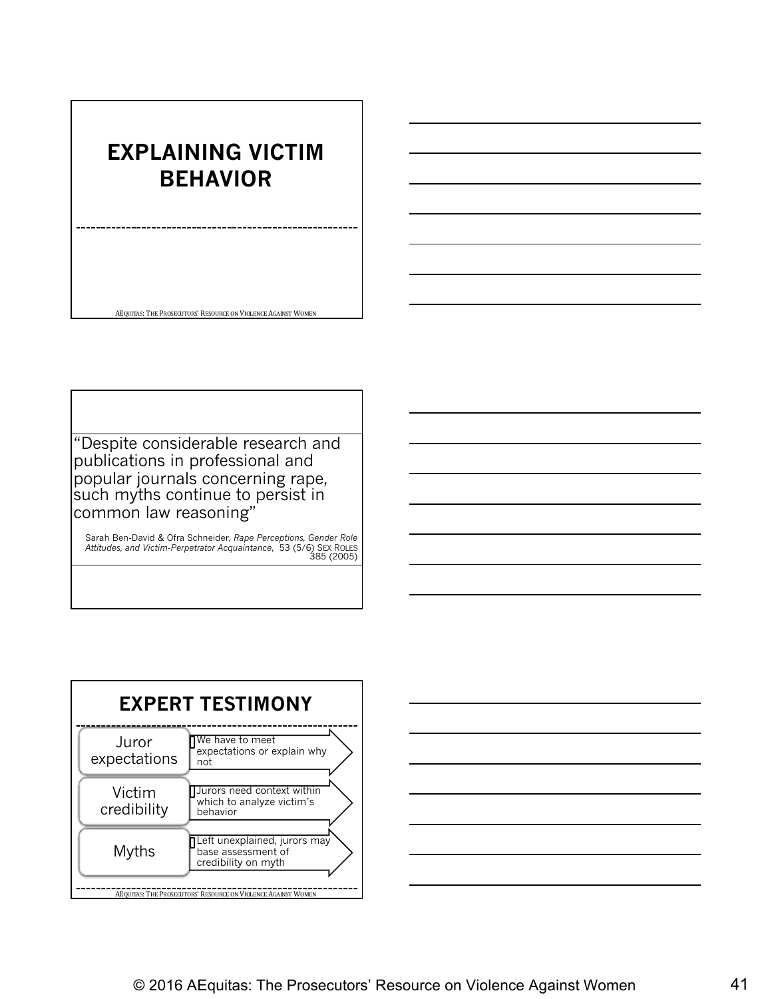#### **EXPLAINING VICTIM BEHAVIOR**

AEQUITAS: THE PROSECUTORS' RESOURCE ON VIOLENCE AGAINST WOMEN

"Despite considerable research and publications in professional and popular journals concerning rape, such myths continue to persist in common law reasoning"

Sarah Ben-David & Ofra Schneider*, Rape Perceptions, Gender Role Attitudes, and Victim-Perpetrator Acquaintance*, 53 (5/6) SEX ROLES 385 (2005)



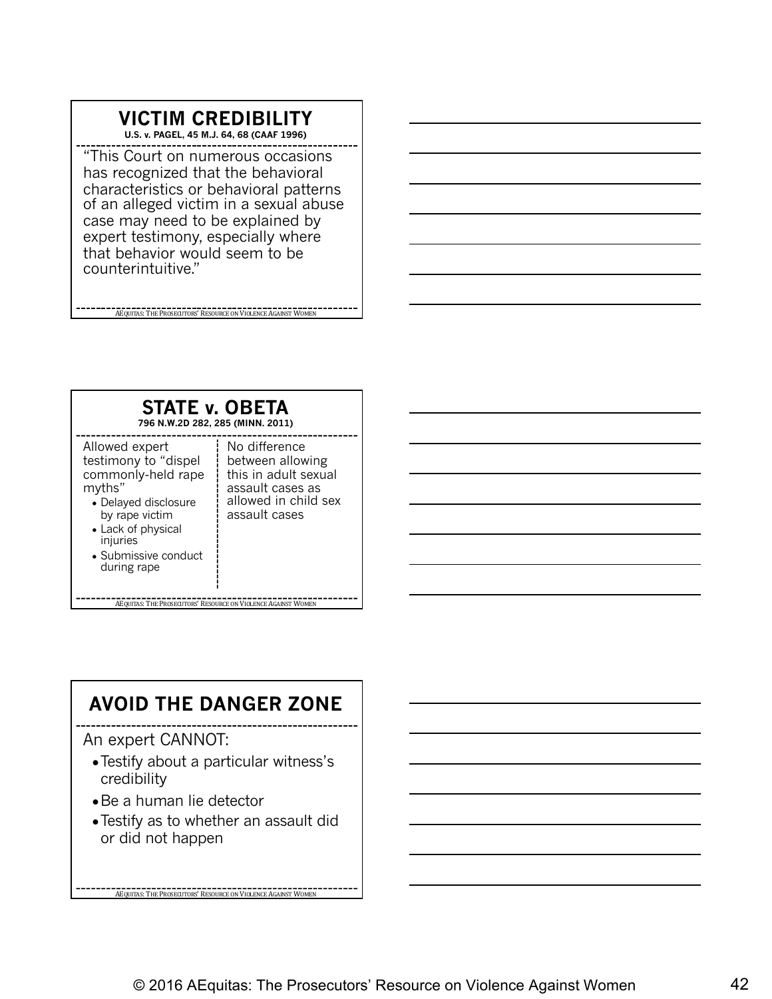#### **VICTIM CREDIBILITY**

**U.S. v. PAGEL, 45 M.J. 64, 68 (CAAF 1996)** 

"This Court on numerous occasions has recognized that the behavioral characteristics or behavioral patterns of an alleged victim in a sexual abuse case may need to be explained by expert testimony, especially where that behavior would seem to be counterintuitive."

AEQUITAS: THE PROSECUTORS' RESOURCE ON VIOLENCE AGAINST WOMEN



#### **AVOID THE DANGER ZONE**

An expert CANNOT:

- ●Testify about a particular witness's credibility
- Be a human lie detector
- ●Testify as to whether an assault did or did not happen